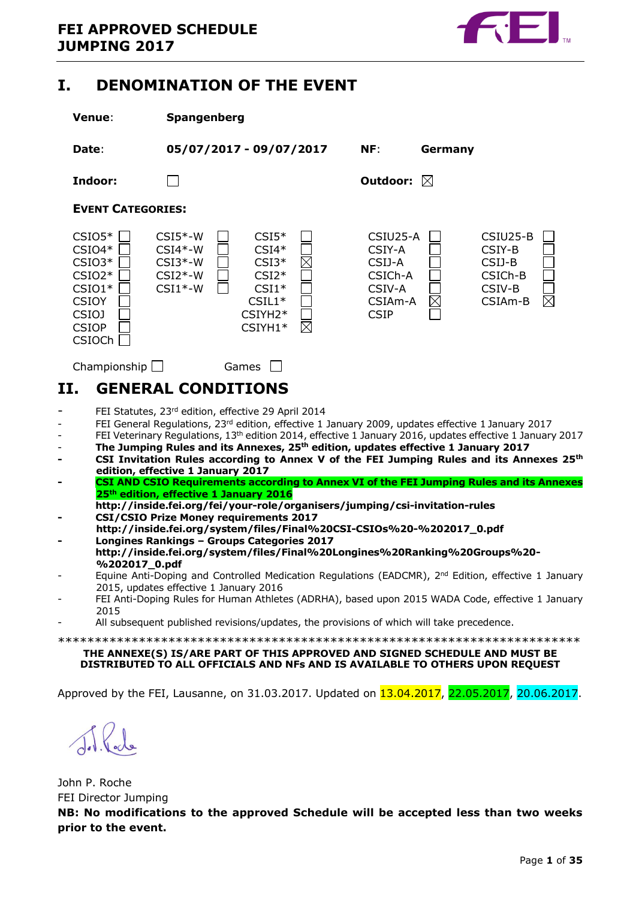

# <span id="page-0-0"></span>**I. DENOMINATION OF THE EVENT**

| <b>Venue:</b>                                                                                                             | <b>Spangenberg</b>                                            |                                                                                                                                                                                                                                                                                                                                                                                                                                                                                               |                                                                             |             |                                                                                          |
|---------------------------------------------------------------------------------------------------------------------------|---------------------------------------------------------------|-----------------------------------------------------------------------------------------------------------------------------------------------------------------------------------------------------------------------------------------------------------------------------------------------------------------------------------------------------------------------------------------------------------------------------------------------------------------------------------------------|-----------------------------------------------------------------------------|-------------|------------------------------------------------------------------------------------------|
| Date:                                                                                                                     |                                                               | 05/07/2017 - 09/07/2017                                                                                                                                                                                                                                                                                                                                                                                                                                                                       | NF:                                                                         | Germany     |                                                                                          |
| Indoor:                                                                                                                   |                                                               |                                                                                                                                                                                                                                                                                                                                                                                                                                                                                               | Outdoor: $\boxtimes$                                                        |             |                                                                                          |
| <b>EVENT CATEGORIES:</b>                                                                                                  |                                                               |                                                                                                                                                                                                                                                                                                                                                                                                                                                                                               |                                                                             |             |                                                                                          |
| $CSIO5*$<br>$CSIO4*$<br>$CSIO3*$<br>$CSIO2*$<br>$CSIO1*$<br><b>CSIOY</b><br><b>CSIOJ</b><br><b>CSIOP</b><br><b>CSIOCh</b> | $CSI5*-W$<br>$CSI4*-W$<br>$CSI3*-W$<br>$CSI2*-W$<br>$CSI1*-W$ | $CSI5*$<br>$CSI4*$<br>$\times$<br>$CSI3*$<br>$CSI2*$<br>$CSI1*$<br>$CSIL1*$<br>CSIYH2*<br>⊠<br>CSIYH1*                                                                                                                                                                                                                                                                                                                                                                                        | CSIU25-A<br>CSIY-A<br>CSIJ-A<br>CSICh-A<br>CSIV-A<br>CSIAm-A<br><b>CSIP</b> | $\boxtimes$ | CSIU25-B<br>CSIY-B<br>CSIJ-B<br>CSICh-B<br>CSIV-B<br>$\boxtimes$<br>CSIA <sub>m</sub> -B |
| Championship $\Box$                                                                                                       |                                                               | Games                                                                                                                                                                                                                                                                                                                                                                                                                                                                                         |                                                                             |             |                                                                                          |
| II.                                                                                                                       | <b>GENERAL CONDITIONS</b>                                     |                                                                                                                                                                                                                                                                                                                                                                                                                                                                                               |                                                                             |             |                                                                                          |
|                                                                                                                           |                                                               | FEI Statutes, 23rd edition, effective 29 April 2014<br>$\blacksquare$ . $\blacksquare$ . $\blacksquare$ . $\blacksquare$ . $\blacksquare$ . $\blacksquare$ . $\blacksquare$ . $\blacksquare$ . $\blacksquare$ . $\blacksquare$ . $\blacksquare$ . $\blacksquare$ . $\blacksquare$ . $\blacksquare$ . $\blacksquare$ . $\blacksquare$ . $\blacksquare$ . $\blacksquare$ . $\blacksquare$ . $\blacksquare$ . $\blacksquare$ . $\blacksquare$ . $\blacksquare$ . $\blacksquare$ . $\blacksquare$ |                                                                             |             | $\sim$ $\sim$ $\sim$                                                                     |

- <span id="page-0-1"></span>FEI General Regulations, 23<sup>rd</sup> edition, effective 1 January 2009, updates effective 1 January 2017
- FEI Veterinary Regulations, 13th edition 2014, effective 1 January 2016, updates effective 1 January 2017
- **The Jumping Rules and its Annexes, 25th edition, updates effective 1 January 2017**
- **- CSI Invitation Rules according to Annex V of the FEI Jumping Rules and its Annexes 25th edition, effective 1 January 2017**
- **- CSI AND CSIO Requirements according to Annex VI of the FEI Jumping Rules and its Annexes 25th edition, effective 1 January 2016**
- **http://inside.fei.org/fei/your-role/organisers/jumping/csi-invitation-rules - CSI/CSIO Prize Money requirements 2017**
- **http://inside.fei.org/system/files/Final%20CSI-CSIOs%20-%202017\_0.pdf - Longines Rankings – Groups Categories 2017**
- **http://inside.fei.org/system/files/Final%20Longines%20Ranking%20Groups%20- %202017\_0.pdf**
- Equine Anti-Doping and Controlled Medication Regulations (EADCMR), 2<sup>nd</sup> Edition, effective 1 January 2015, updates effective 1 January 2016
- FEI Anti-Doping Rules for Human Athletes (ADRHA), based upon 2015 WADA Code, effective 1 January 2015
- All subsequent published revisions/updates, the provisions of which will take precedence.

\*\*\*\*\*\*\*\*\*\*\*\*\*\*\*\*\*\*\*\*\*\*\*\*\*\*\*\*\*\*\*\*\*\*\*\*\*\*\*\*\*\*\*\*\*\*\*\*\*\*\*\*\*\*\*\*\*\*\*\*\*\*\*\*\*\*\*\*\*\*\*

#### **THE ANNEXE(S) IS/ARE PART OF THIS APPROVED AND SIGNED SCHEDULE AND MUST BE DISTRIBUTED TO ALL OFFICIALS AND NFs AND IS AVAILABLE TO OTHERS UPON REQUEST**

Approved by the FEI, Lausanne, on 31.03.2017. Updated on **13.04.2017**, **22.05.2017**, 20.06.2017.

John P. Roche FEI Director Jumping **NB: No modifications to the approved Schedule will be accepted less than two weeks prior to the event.**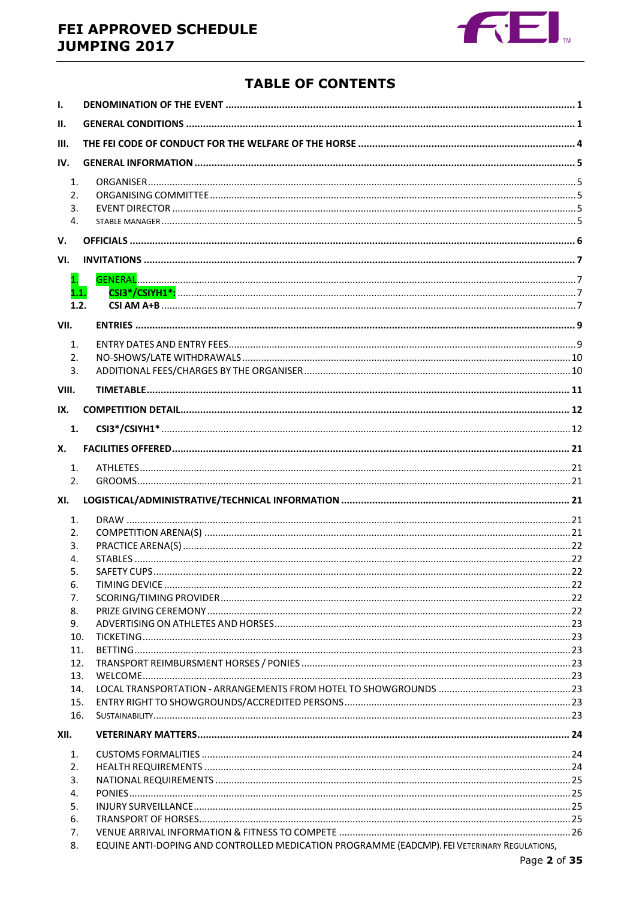# FEI APPROVED SCHEDULE **JUMPING 2017**



# **TABLE OF CONTENTS**

| $\mathbf{I}$ .   |                                                                                              |  |
|------------------|----------------------------------------------------------------------------------------------|--|
| Ш.               |                                                                                              |  |
| III.             |                                                                                              |  |
| IV.              |                                                                                              |  |
| 1.               |                                                                                              |  |
| 2.               |                                                                                              |  |
| 3.               |                                                                                              |  |
| $\overline{4}$ . |                                                                                              |  |
| V.               |                                                                                              |  |
| VI.              |                                                                                              |  |
| $\mathbf{1}$ .   |                                                                                              |  |
| 1.1.<br>1.2.     |                                                                                              |  |
|                  |                                                                                              |  |
| VII.             |                                                                                              |  |
| 1.               |                                                                                              |  |
| 2.               |                                                                                              |  |
| 3.               |                                                                                              |  |
| VIII.            |                                                                                              |  |
| IX.              |                                                                                              |  |
| 1.               |                                                                                              |  |
| Х.               |                                                                                              |  |
| 1.               |                                                                                              |  |
| 2.               |                                                                                              |  |
| XI.              |                                                                                              |  |
| 1.               |                                                                                              |  |
| 2.               |                                                                                              |  |
| 3.               |                                                                                              |  |
| 4.               |                                                                                              |  |
| 5.               |                                                                                              |  |
| 6.               |                                                                                              |  |
| 7.               |                                                                                              |  |
| 8.               |                                                                                              |  |
| 9.               |                                                                                              |  |
| 10.<br>11.       |                                                                                              |  |
| 12.              |                                                                                              |  |
| 13.              |                                                                                              |  |
| 14.              |                                                                                              |  |
| 15.              |                                                                                              |  |
| 16.              |                                                                                              |  |
| XII.             |                                                                                              |  |
| 1.               |                                                                                              |  |
| 2.               |                                                                                              |  |
| 3.               |                                                                                              |  |
| 4.               |                                                                                              |  |
| 5.               |                                                                                              |  |
| 6.<br>7.         |                                                                                              |  |
| 8.               | EQUINE ANTI-DOPING AND CONTROLLED MEDICATION PROGRAMME (EADCMP). FEI VETERINARY REGULATIONS, |  |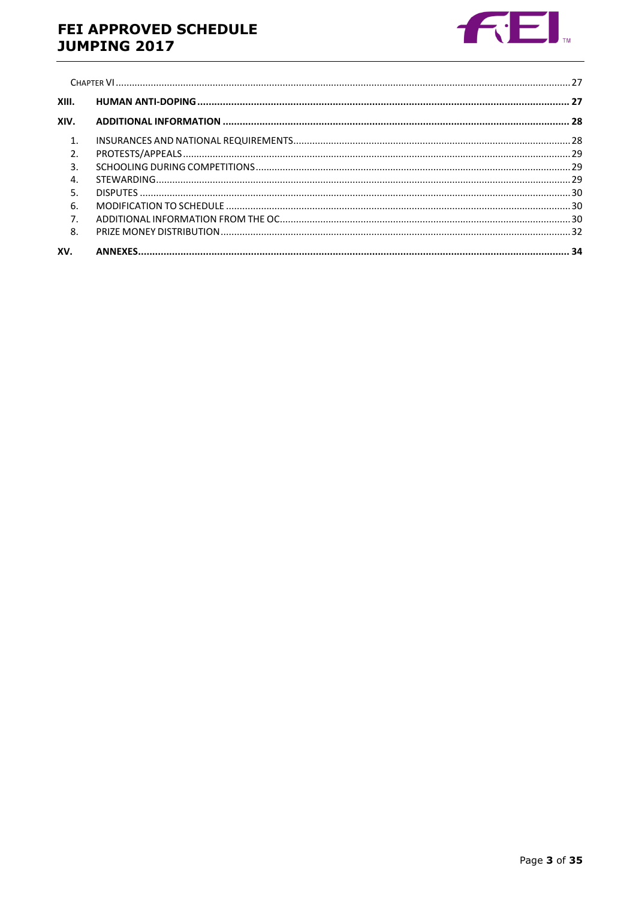# FEI APPROVED SCHEDULE **JUMPING 2017**



| XIII.            |  |
|------------------|--|
| XIV.             |  |
| $\mathbf{1}$     |  |
| 2.               |  |
| $\overline{3}$ . |  |
| $\overline{4}$ . |  |
| 5.               |  |
| 6.               |  |
| 7.               |  |
| 8.               |  |
| XV.              |  |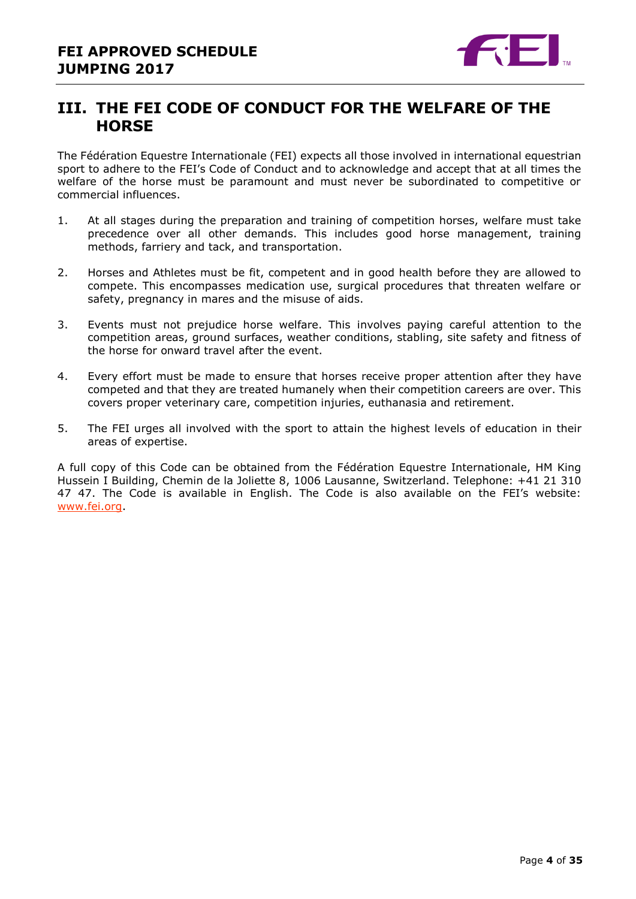

# <span id="page-3-0"></span>**III. THE FEI CODE OF CONDUCT FOR THE WELFARE OF THE HORSE**

The Fédération Equestre Internationale (FEI) expects all those involved in international equestrian sport to adhere to the FEI's Code of Conduct and to acknowledge and accept that at all times the welfare of the horse must be paramount and must never be subordinated to competitive or commercial influences.

- 1. At all stages during the preparation and training of competition horses, welfare must take precedence over all other demands. This includes good horse management, training methods, farriery and tack, and transportation.
- 2. Horses and Athletes must be fit, competent and in good health before they are allowed to compete. This encompasses medication use, surgical procedures that threaten welfare or safety, pregnancy in mares and the misuse of aids.
- 3. Events must not prejudice horse welfare. This involves paying careful attention to the competition areas, ground surfaces, weather conditions, stabling, site safety and fitness of the horse for onward travel after the event.
- 4. Every effort must be made to ensure that horses receive proper attention after they have competed and that they are treated humanely when their competition careers are over. This covers proper veterinary care, competition injuries, euthanasia and retirement.
- 5. The FEI urges all involved with the sport to attain the highest levels of education in their areas of expertise.

A full copy of this Code can be obtained from the Fédération Equestre Internationale, HM King Hussein I Building, Chemin de la Joliette 8, 1006 Lausanne, Switzerland. Telephone: +41 21 310 47 47. The Code is available in English. The Code is also available on the FEI's website: [www.fei.org.](http://www.fei.org/)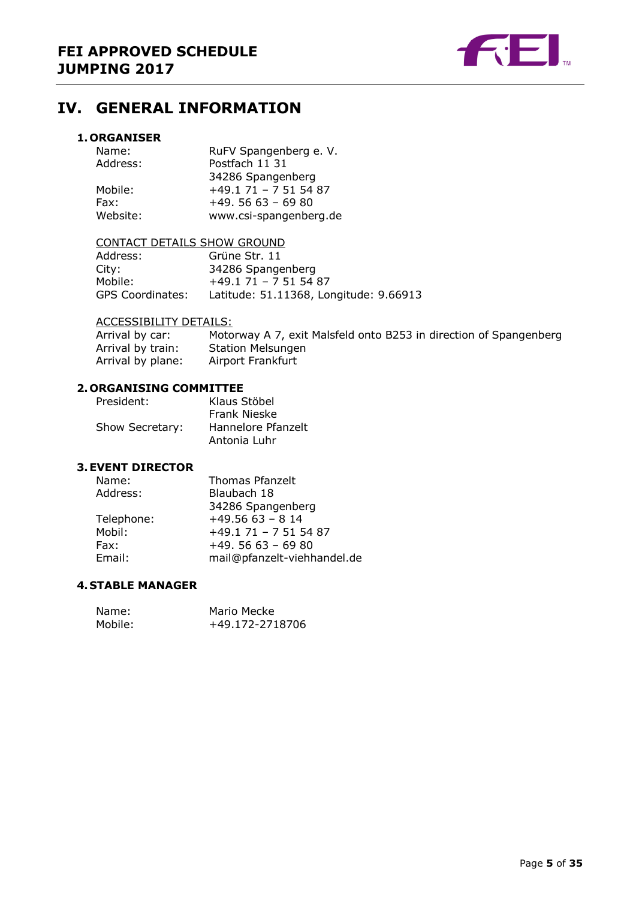

# <span id="page-4-0"></span>**IV. GENERAL INFORMATION**

#### <span id="page-4-1"></span>**1. ORGANISER**

| Name:    | RuFV Spangenberg e. V.  |
|----------|-------------------------|
| Address: | Postfach 11 31          |
|          | 34286 Spangenberg       |
| Mobile:  | $+49.1$ 71 - 7 51 54 87 |
| Fax:     | $+49.5663 - 6980$       |
| Website: | www.csi-spangenberg.de  |

#### CONTACT DETAILS SHOW GROUND

| Address:                | Grüne Str. 11                          |
|-------------------------|----------------------------------------|
| City:                   | 34286 Spangenberg                      |
| Mobile:                 | $+49.1$ 71 - 7 51 54 87                |
| <b>GPS Coordinates:</b> | Latitude: 51.11368, Longitude: 9.66913 |

#### ACCESSIBILITY DETAILS:

Arrival by car: Motorway A 7, exit Malsfeld onto B253 in direction of Spangenberg Arrival by train: Station Melsungen Arrival by plane: Airport Frankfurt

#### <span id="page-4-2"></span>**2. ORGANISING COMMITTEE**

| President:      | Klaus Stöbel       |
|-----------------|--------------------|
|                 | Frank Nieske       |
| Show Secretary: | Hannelore Pfanzelt |
|                 | Antonia Luhr       |

#### <span id="page-4-3"></span>**3.EVENT DIRECTOR**

| Name:      | Thomas Pfanzelt             |
|------------|-----------------------------|
| Address:   | Blaubach 18                 |
|            | 34286 Spangenberg           |
| Telephone: | $+49.5663 - 814$            |
| Mobil:     | $+49.1$ 71 - 7 51 54 87     |
| Fax:       | $+49.5663 - 6980$           |
| Email:     | mail@pfanzelt-viehhandel.de |
|            |                             |

#### <span id="page-4-4"></span>**4. STABLE MANAGER**

| Name:   | Mario Mecke     |
|---------|-----------------|
| Mobile: | +49.172-2718706 |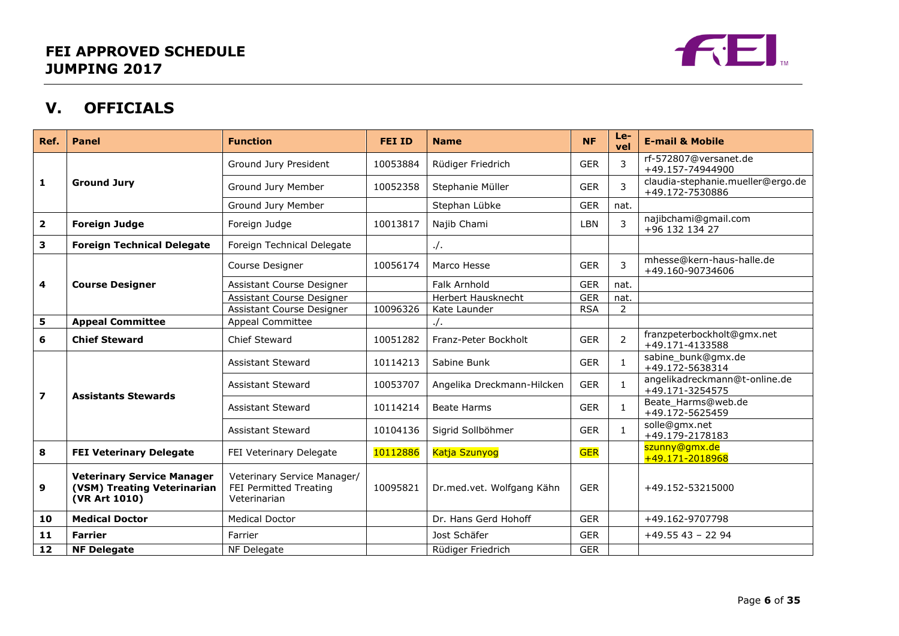

# **V. OFFICIALS**

<span id="page-5-0"></span>

| Ref.                    | Panel                                                                             | <b>Function</b>                                                       | <b>FEI ID</b> | <b>Name</b>                | <b>NF</b>  | $Le-$<br>vel   | <b>E-mail &amp; Mobile</b>                           |
|-------------------------|-----------------------------------------------------------------------------------|-----------------------------------------------------------------------|---------------|----------------------------|------------|----------------|------------------------------------------------------|
|                         |                                                                                   | Ground Jury President                                                 | 10053884      | Rüdiger Friedrich          | <b>GER</b> | 3              | rf-572807@versanet.de<br>+49.157-74944900            |
| $\mathbf{1}$            | <b>Ground Jury</b>                                                                | Ground Jury Member                                                    | 10052358      | Stephanie Müller           | <b>GER</b> | 3              | claudia-stephanie.mueller@ergo.de<br>+49.172-7530886 |
|                         |                                                                                   | Ground Jury Member                                                    |               | Stephan Lübke              | <b>GER</b> | nat.           |                                                      |
| $\overline{\mathbf{2}}$ | <b>Foreign Judge</b>                                                              | Foreign Judge                                                         | 10013817      | Najib Chami                | LBN        | 3              | najibchami@gmail.com<br>+96 132 134 27               |
| 3                       | <b>Foreign Technical Delegate</b>                                                 | Foreign Technical Delegate                                            |               | $.$ /.                     |            |                |                                                      |
|                         |                                                                                   | Course Designer                                                       | 10056174      | Marco Hesse                | <b>GER</b> | 3              | mhesse@kern-haus-halle.de<br>+49.160-90734606        |
| 4                       | <b>Course Designer</b>                                                            | Assistant Course Designer                                             |               | Falk Arnhold               | <b>GER</b> | nat.           |                                                      |
|                         |                                                                                   | Assistant Course Designer                                             |               | Herbert Hausknecht         | <b>GER</b> | nat.           |                                                      |
|                         |                                                                                   | Assistant Course Designer                                             | 10096326      | Kate Launder               | <b>RSA</b> | 2              |                                                      |
| 5                       | <b>Appeal Committee</b>                                                           | Appeal Committee                                                      |               | $\cdot$ /.                 |            |                |                                                      |
| 6                       | <b>Chief Steward</b>                                                              | <b>Chief Steward</b>                                                  | 10051282      | Franz-Peter Bockholt       | <b>GER</b> | $\overline{2}$ | franzpeterbockholt@gmx.net<br>+49.171-4133588        |
|                         | <b>Assistants Stewards</b>                                                        | <b>Assistant Steward</b>                                              | 10114213      | Sabine Bunk                | <b>GER</b> | $\mathbf{1}$   | sabine bunk@gmx.de<br>+49.172-5638314                |
| $\overline{\mathbf{z}}$ |                                                                                   | <b>Assistant Steward</b>                                              | 10053707      | Angelika Dreckmann-Hilcken | <b>GER</b> | $\mathbf{1}$   | angelikadreckmann@t-online.de<br>+49.171-3254575     |
|                         |                                                                                   | <b>Assistant Steward</b>                                              | 10114214      | <b>Beate Harms</b>         | <b>GER</b> | $\mathbf{1}$   | Beate_Harms@web.de<br>+49.172-5625459                |
|                         |                                                                                   | <b>Assistant Steward</b>                                              | 10104136      | Sigrid Sollböhmer          | <b>GER</b> | $\mathbf{1}$   | solle@gmx.net<br>+49.179-2178183                     |
| 8                       | <b>FEI Veterinary Delegate</b>                                                    | FEI Veterinary Delegate                                               | 10112886      | Katja Szunyog              | <b>GER</b> |                | szunny@gmx.de<br>+49.171-2018968                     |
| 9                       | <b>Veterinary Service Manager</b><br>(VSM) Treating Veterinarian<br>(VR Art 1010) | Veterinary Service Manager/<br>FEI Permitted Treating<br>Veterinarian | 10095821      | Dr.med.vet. Wolfgang Kähn  | <b>GER</b> |                | +49.152-53215000                                     |
| 10                      | <b>Medical Doctor</b>                                                             | <b>Medical Doctor</b>                                                 |               | Dr. Hans Gerd Hohoff       | <b>GER</b> |                | +49.162-9707798                                      |
| 11                      | <b>Farrier</b>                                                                    | Farrier                                                               |               | Jost Schäfer               | <b>GER</b> |                | $+49.5543 - 2294$                                    |
| 12                      | <b>NF Delegate</b>                                                                | NF Delegate                                                           |               | Rüdiger Friedrich          | <b>GER</b> |                |                                                      |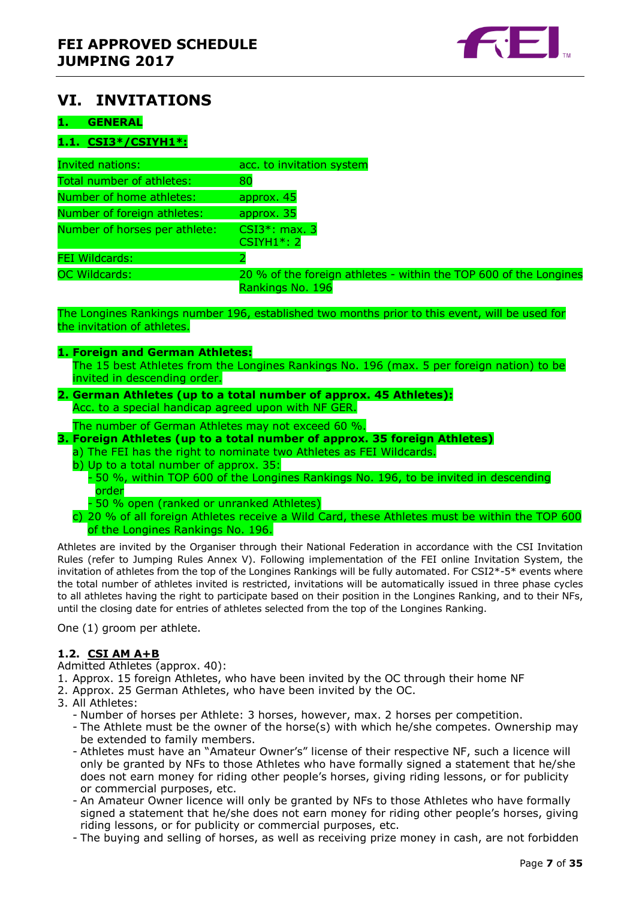

# <span id="page-6-0"></span>**VI. INVITATIONS**

#### <span id="page-6-1"></span>**1. GENERAL**

#### <span id="page-6-2"></span>**1.1. CSI3\*/CSIYH1\*:**

| <b>Invited nations:</b>       | acc. to invitation system                                         |
|-------------------------------|-------------------------------------------------------------------|
| Total number of athletes:     | 80                                                                |
| Number of home athletes:      | approx. 45                                                        |
| Number of foreign athletes:   | approx. 35                                                        |
| Number of horses per athlete: | $CSI3^*: max. 3$<br><b>CSIYH1*: 2</b>                             |
| <b>FEI Wildcards:</b>         |                                                                   |
| <b>OC Wildcards:</b>          | 20 % of the foreign athletes - within the TOP 600 of the Longines |
|                               | Rankings No. 196                                                  |

The Longines Rankings number 196, established two months prior to this event, will be used for the invitation of athletes.

#### **1. Foreign and German Athletes:**

The 15 best Athletes from the Longines Rankings No. 196 (max. 5 per foreign nation) to be invited in descending order.

#### **2. German Athletes (up to a total number of approx. 45 Athletes):** Acc. to a special handicap agreed upon with NF GER.

The number of German Athletes may not exceed 60 %.

#### **3. Foreign Athletes (up to a total number of approx. 35 foreign Athletes)**

- a) The FEI has the right to nominate two Athletes as FEI Wildcards.
- b) Up to a total number of approx. 35:
	- 50 %, within TOP 600 of the Longines Rankings No. 196, to be invited in descending order
	- 50 % open (ranked or unranked Athletes)
- c) 20 % of all foreign Athletes receive a Wild Card, these Athletes must be within the TOP 600 of the Longines Rankings No. 196.

Athletes are invited by the Organiser through their National Federation in accordance with the CSI Invitation Rules (refer to Jumping Rules Annex V). Following implementation of the FEI online Invitation System, the invitation of athletes from the top of the Longines Rankings will be fully automated. For CSI2 $*$ -5 $*$  events where the total number of athletes invited is restricted, invitations will be automatically issued in three phase cycles to all athletes having the right to participate based on their position in the Longines Ranking, and to their NFs, until the closing date for entries of athletes selected from the top of the Longines Ranking.

One (1) groom per athlete.

#### <span id="page-6-3"></span>**1.2. CSI AM A+B**

Admitted Athletes (approx. 40):

- 1. Approx. 15 foreign Athletes, who have been invited by the OC through their home NF
- 2. Approx. 25 German Athletes, who have been invited by the OC.
- 3. All Athletes:
	- Number of horses per Athlete: 3 horses, however, max. 2 horses per competition.
	- The Athlete must be the owner of the horse(s) with which he/she competes. Ownership may be extended to family members.
	- Athletes must have an "Amateur Owner's" license of their respective NF, such a licence will only be granted by NFs to those Athletes who have formally signed a statement that he/she does not earn money for riding other people's horses, giving riding lessons, or for publicity or commercial purposes, etc.
	- An Amateur Owner licence will only be granted by NFs to those Athletes who have formally signed a statement that he/she does not earn money for riding other people's horses, giving riding lessons, or for publicity or commercial purposes, etc.
	- The buying and selling of horses, as well as receiving prize money in cash, are not forbidden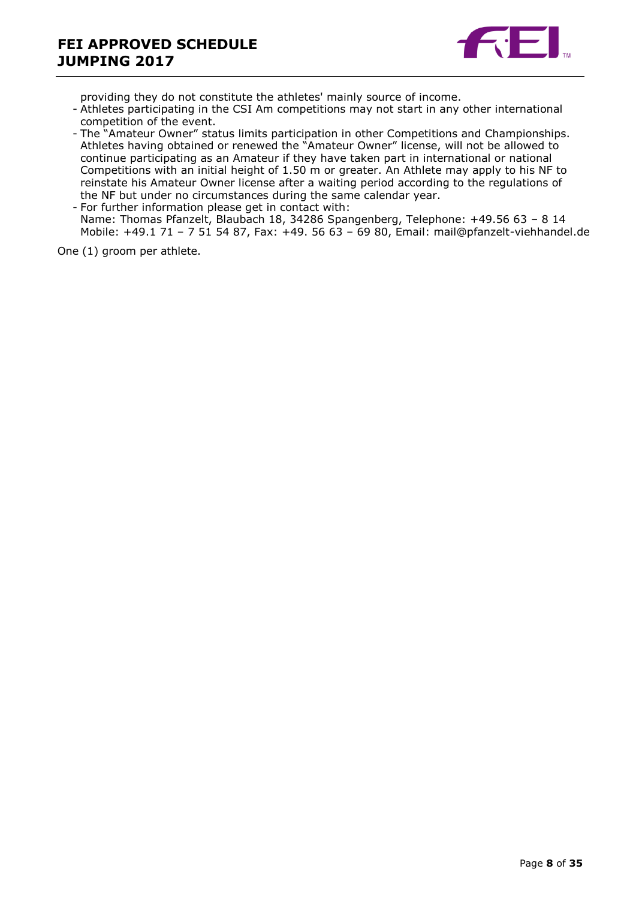

providing they do not constitute the athletes' mainly source of income.

- Athletes participating in the CSI Am competitions may not start in any other international competition of the event.
- The "Amateur Owner" status limits participation in other Competitions and Championships. Athletes having obtained or renewed the "Amateur Owner" license, will not be allowed to continue participating as an Amateur if they have taken part in international or national Competitions with an initial height of 1.50 m or greater. An Athlete may apply to his NF to reinstate his Amateur Owner license after a waiting period according to the regulations of the NF but under no circumstances during the same calendar year.

- For further information please get in contact with: Name: Thomas Pfanzelt, Blaubach 18, 34286 Spangenberg, Telephone: +49.56 63 – 8 14 Mobile: +49.1 71 – 7 51 54 87, Fax: +49. 56 63 – 69 80, Email: mail@pfanzelt-viehhandel.de

One (1) groom per athlete.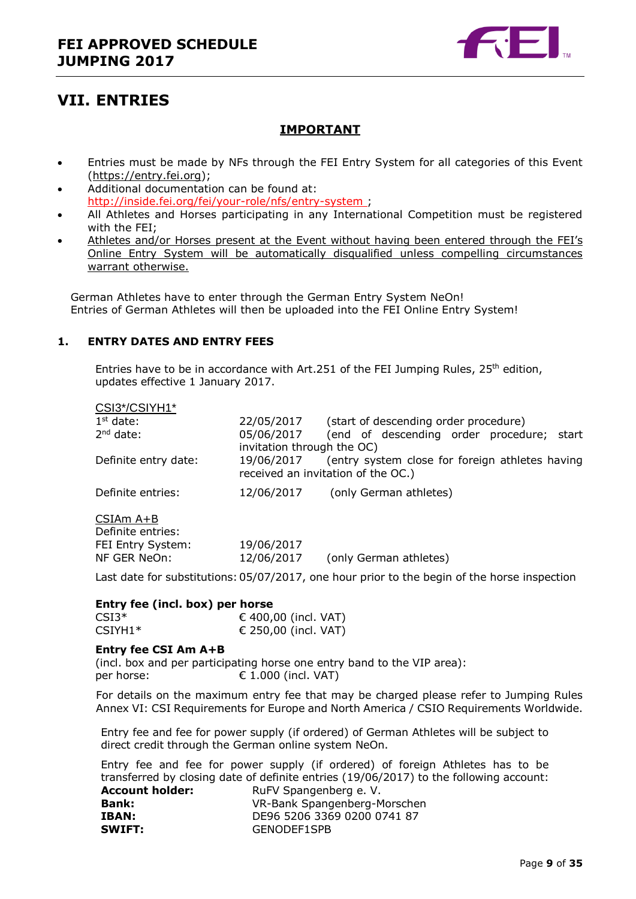

# <span id="page-8-0"></span>**VII. ENTRIES**

### **IMPORTANT**

- Entries must be made by NFs through the FEI Entry System for all categories of this Event [\(https://entry.fei.org\)](https://entry.fei.org/);
- Additional documentation can be found at: <http://inside.fei.org/fei/your-role/nfs/entry-system> ;
- All Athletes and Horses participating in any International Competition must be registered with the FEI;
- Athletes and/or Horses present at the Event without having been entered through the FEI's Online Entry System will be automatically disqualified unless compelling circumstances warrant otherwise.

German Athletes have to enter through the German Entry System NeOn! Entries of German Athletes will then be uploaded into the FEI Online Entry System!

#### <span id="page-8-1"></span>**1. ENTRY DATES AND ENTRY FEES**

Entries have to be in accordance with Art.251 of the FEI Jumping Rules,  $25<sup>th</sup>$  edition, updates effective 1 January 2017.

| CSI3*/CSIYH1*                  |                                          |                                                                                       |
|--------------------------------|------------------------------------------|---------------------------------------------------------------------------------------|
| $1st$ date:                    | 22/05/2017                               | (start of descending order procedure)                                                 |
| $2nd$ date:                    | 05/06/2017<br>invitation through the OC) | (end of descending order procedure; start                                             |
| Definite entry date:           | 19/06/2017                               | (entry system close for foreign athletes having<br>received an invitation of the OC.) |
| Definite entries:              | 12/06/2017                               | (only German athletes)                                                                |
| CSIAm A+B<br>Definite entries: |                                          |                                                                                       |
| FEI Entry System:              | 19/06/2017                               |                                                                                       |

NF GER NeOn: 12/06/2017 (only German athletes)

Last date for substitutions:05/07/2017, one hour prior to the begin of the horse inspection

#### **Entry fee (incl. box) per horse**

| $CSI3*$   | € 400,00 (incl. VAT) |  |
|-----------|----------------------|--|
| $CSIYH1*$ | € 250,00 (incl. VAT) |  |

#### **Entry fee CSI Am A+B**

(incl. box and per participating horse one entry band to the VIP area): per horse:  $\epsilon$  1.000 (incl. VAT)

For details on the maximum entry fee that may be charged please refer to Jumping Rules Annex VI: CSI Requirements for Europe and North America / CSIO Requirements Worldwide.

Entry fee and fee for power supply (if ordered) of German Athletes will be subject to direct credit through the German online system NeOn.

Entry fee and fee for power supply (if ordered) of foreign Athletes has to be transferred by closing date of definite entries (19/06/2017) to the following account:

| <b>Account holder:</b> | RuFV Spangenberg e. V.       |
|------------------------|------------------------------|
| <b>Bank:</b>           | VR-Bank Spangenberg-Morschen |
| IBAN:                  | DE96 5206 3369 0200 0741 87  |
| <b>SWIFT:</b>          | GENODEF1SPB                  |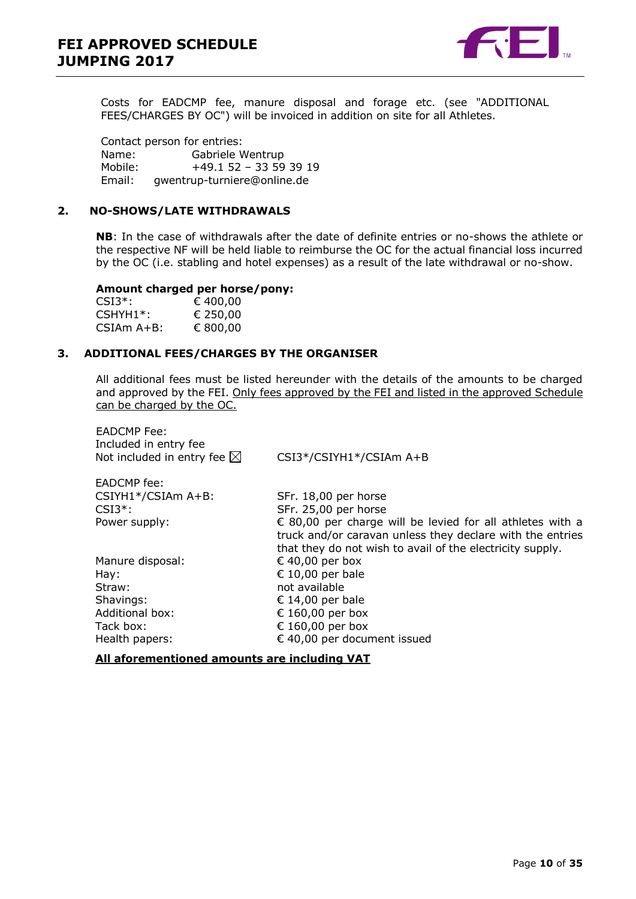

Costs for EADCMP fee, manure disposal and forage etc. (see "ADDITIONAL FEES/CHARGES BY OC") will be invoiced in addition on site for all Athletes.

Contact person for entries: Name: Gabriele Wentrup Mobile: +49.1 52 – 33 59 39 19 gwentrup-turniere@online.de

#### <span id="page-9-0"></span>**2. NO-SHOWS/LATE WITHDRAWALS**

**NB**: In the case of withdrawals after the date of definite entries or no-shows the athlete or the respective NF will be held liable to reimburse the OC for the actual financial loss incurred by the OC (i.e. stabling and hotel expenses) as a result of the late withdrawal or no-show.

#### **Amount charged per horse/pony:**

| $CSI3*$ :    | € 400,00 |
|--------------|----------|
| $CSHYH1*$ :  | € 250,00 |
| $CSIAm A+B:$ | € 800,00 |

EADCMP Fee:

#### <span id="page-9-1"></span>**3. ADDITIONAL FEES/CHARGES BY THE ORGANISER**

All additional fees must be listed hereunder with the details of the amounts to be charged and approved by the FEI. Only fees approved by the FEI and listed in the approved Schedule can be charged by the OC.

| Included in entry fee<br>Not included in entry fee $\boxtimes$ | CSI3*/CSIYH1*/CSIAm A+B                                                                                                                                                             |
|----------------------------------------------------------------|-------------------------------------------------------------------------------------------------------------------------------------------------------------------------------------|
| EADCMP fee:                                                    |                                                                                                                                                                                     |
| CSIYH1*/CSIAm A+B:                                             | SFr. 18,00 per horse                                                                                                                                                                |
| $CSI3*$ :                                                      | SFr. 25,00 per horse                                                                                                                                                                |
| Power supply:                                                  | € 80,00 per charge will be levied for all athletes with a<br>truck and/or caravan unless they declare with the entries<br>that they do not wish to avail of the electricity supply. |
| Manure disposal:                                               | € 40,00 per box                                                                                                                                                                     |
| Hay:                                                           | € 10,00 per bale                                                                                                                                                                    |
| Straw:                                                         | not available                                                                                                                                                                       |
| Shavings:                                                      | € 14,00 per bale                                                                                                                                                                    |
| <b>Additional box:</b>                                         | € 160,00 per box                                                                                                                                                                    |
| Tack box:                                                      | € 160,00 per box                                                                                                                                                                    |
| Health papers:                                                 | € 40,00 per document issued                                                                                                                                                         |
|                                                                |                                                                                                                                                                                     |

**All aforementioned amounts are including VAT**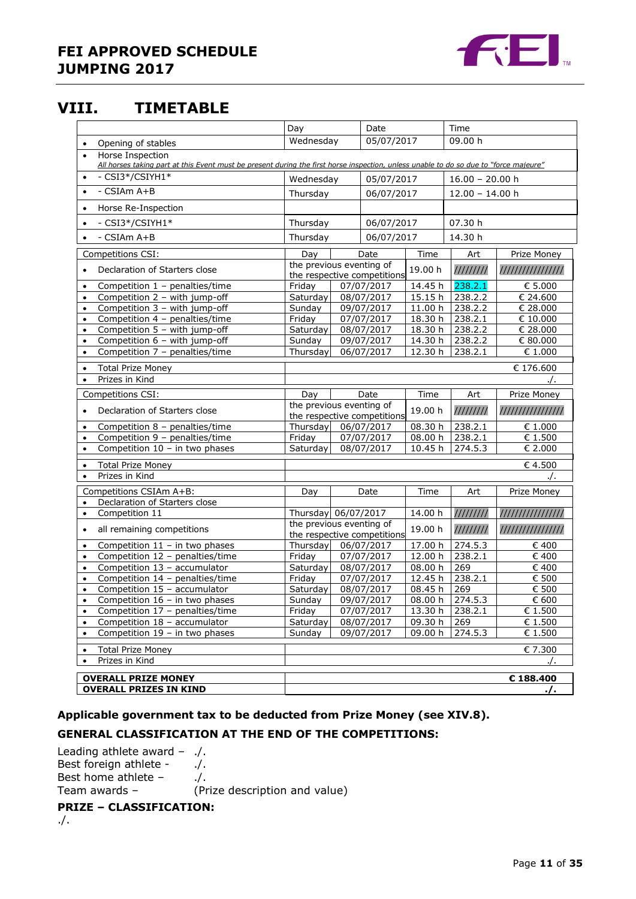

# <span id="page-10-0"></span>**VIII. TIMETABLE**

|                                                                                                                                                                        | Day                      |  | Date                        |                    | Time               |                  |
|------------------------------------------------------------------------------------------------------------------------------------------------------------------------|--------------------------|--|-----------------------------|--------------------|--------------------|------------------|
| Opening of stables<br>$\bullet$                                                                                                                                        | Wednesday                |  | 05/07/2017                  |                    | 09.00 h            |                  |
| Horse Inspection<br>$\bullet$<br>All horses taking part at this Event must be present during the first horse inspection, unless unable to do so due to "force majeure" |                          |  |                             |                    |                    |                  |
| - CSI3*/CSIYH1*<br>$\bullet$                                                                                                                                           | Wednesday                |  | 05/07/2017                  |                    | $16.00 - 20.00 h$  |                  |
| $-$ CSIAm $A+B$<br>$\bullet$                                                                                                                                           | Thursday                 |  | 06/07/2017                  |                    | $12.00 - 14.00$ h  |                  |
| Horse Re-Inspection<br>$\bullet$                                                                                                                                       |                          |  |                             |                    |                    |                  |
| - CSI3*/CSIYH1*<br>$\bullet$                                                                                                                                           | Thursday                 |  | 06/07/2017                  |                    | 07.30 h            |                  |
|                                                                                                                                                                        |                          |  |                             |                    |                    |                  |
| $-$ CSIAm $A+B$                                                                                                                                                        | Thursday                 |  | 06/07/2017                  |                    | 14.30 h            |                  |
| Competitions CSI:                                                                                                                                                      | Day                      |  | Date                        | Time               | Art                | Prize Money      |
| Declaration of Starters close                                                                                                                                          | the previous eventing of |  | the respective competitions | 19.00 h            | 111111111          | //////////////// |
| Competition 1 - penalties/time<br>$\bullet$                                                                                                                            | Friday                   |  | 07/07/2017                  | 14.45 h            | 238.2.1            | € 5.000          |
| Competition 2 - with jump-off<br>$\bullet$                                                                                                                             | Saturday                 |  | 08/07/2017                  | 15.15h             | 238.2.2            | € 24.600         |
| Competition 3 - with jump-off<br>$\bullet$                                                                                                                             | Sunday                   |  | 09/07/2017                  | 11.00 h            | 238.2.2            | € 28.000         |
| Competition 4 - penalties/time                                                                                                                                         | Friday                   |  | $\overline{07/07/2017}$     | 18.30 h            | 238.2.1            | € 10.000         |
| Competition 5 - with jump-off<br>$\bullet$                                                                                                                             | Saturday                 |  | 08/07/2017                  | 18.30 h            | 238.2.2            | € 28.000         |
| Competition 6 - with jump-off<br>$\bullet$                                                                                                                             | Sunday                   |  | 09/07/2017                  | 14.30 h            | 238.2.2            | € 80.000         |
| Competition 7 - penalties/time<br>$\bullet$                                                                                                                            | Thursday                 |  | 06/07/2017                  | 12.30 h            | 238.2.1            | $\in 1.000$      |
| <b>Total Prize Money</b><br>$\bullet$                                                                                                                                  |                          |  |                             |                    |                    | € 176.600        |
| Prizes in Kind<br>$\bullet$                                                                                                                                            |                          |  |                             |                    |                    | 7.               |
| Competitions CSI:                                                                                                                                                      | Day                      |  | Date                        | Time               | Art                | Prize Money      |
|                                                                                                                                                                        | the previous eventing of |  |                             |                    |                    |                  |
| Declaration of Starters close                                                                                                                                          |                          |  | the respective competitions | 19.00 h            | 111111111          | //////////////// |
| Competition 8 - penalties/time<br>$\bullet$                                                                                                                            | Thursday                 |  | 06/07/2017                  | 08.30 h            | 238.2.1            | $\epsilon$ 1.000 |
| Competition 9 - penalties/time<br>$\bullet$                                                                                                                            | Friday                   |  | 07/07/2017                  | 08.00 h            | 238.2.1            | € 1.500          |
| Competition $10 - in$ two phases<br>$\bullet$                                                                                                                          | Saturday                 |  | 08/07/2017                  | 10.45 h            | 274.5.3            | € 2.000          |
| <b>Total Prize Money</b><br>$\bullet$                                                                                                                                  |                          |  |                             |                    |                    | €4.500           |
| Prizes in Kind<br>$\bullet$                                                                                                                                            |                          |  |                             |                    |                    |                  |
| Competitions CSIAm A+B:                                                                                                                                                | Day                      |  | Date                        | Time               | Art                | Prize Money      |
| Declaration of Starters close<br>$\bullet$                                                                                                                             |                          |  |                             |                    |                    |                  |
| Competition 11<br>$\bullet$                                                                                                                                            | Thursday 06/07/2017      |  |                             | 14.00 h            | 111111111          | //////////////// |
| all remaining competitions<br>$\bullet$                                                                                                                                | the previous eventing of |  |                             | 19.00 h            | 111111111          | //////////////// |
|                                                                                                                                                                        |                          |  | the respective competitions |                    |                    |                  |
| Competition $11 - in$ two phases<br>$\bullet$                                                                                                                          | Thursday                 |  | 06/07/2017                  | 17.00 h            | 274.5.3<br>238.2.1 | € 400            |
| Competition 12 - penalties/time<br>$\bullet$                                                                                                                           | Friday                   |  | 07/07/2017                  | 12.00 h            |                    | € 400            |
| Competition 13 - accumulator<br>$\bullet$                                                                                                                              | Saturday<br>Friday       |  | 08/07/2017<br>07/07/2017    | 08.00 h            | 269<br>238.2.1     | € 400<br>€ 500   |
| Competition 14 - penalties/time<br>$\bullet$<br>Competition 15 - accumulator                                                                                           | Saturdav                 |  | 08/07/2017                  | 12.45 h<br>08.45 h | 269                | € 500            |
| $\bullet$<br>Competition 16 - in two phases                                                                                                                            | Sunday                   |  | 09/07/2017                  |                    | 08.00 h 274.5.3    | $\epsilon$ 600   |
| Competition 17 - penalties/time<br>$\bullet$                                                                                                                           | Friday                   |  | 07/07/2017                  | 13.30 h            | 238.2.1            | € 1.500          |
| Competition 18 - accumulator<br>$\bullet$                                                                                                                              | Saturday                 |  | 08/07/2017                  | 09.30 h            | 269                | € 1.500          |
| Competition $19 - in two phases$                                                                                                                                       | Sunday                   |  | 09/07/2017                  | 09.00 h            | 274.5.3            | € 1.500          |
| <b>Total Prize Money</b>                                                                                                                                               |                          |  |                             |                    |                    | € 7.300          |
| $\bullet$<br>Prizes in Kind<br>$\bullet$                                                                                                                               |                          |  |                             |                    |                    |                  |
|                                                                                                                                                                        |                          |  |                             |                    |                    |                  |
| <b>OVERALL PRIZE MONEY</b>                                                                                                                                             |                          |  |                             |                    |                    | € 188.400        |
| <b>OVERALL PRIZES IN KIND</b>                                                                                                                                          |                          |  |                             |                    |                    | $\cdot$ /.       |

#### **Applicable government tax to be deducted from Prize Money (see XIV.8).**

### **GENERAL CLASSIFICATION AT THE END OF THE COMPETITIONS:**

Leading athlete award – ./. Best foreign athlete - ./. Best home athlete – ....<br>Team awards – (Pr (Prize description and value)

#### **PRIZE – CLASSIFICATION:**

./.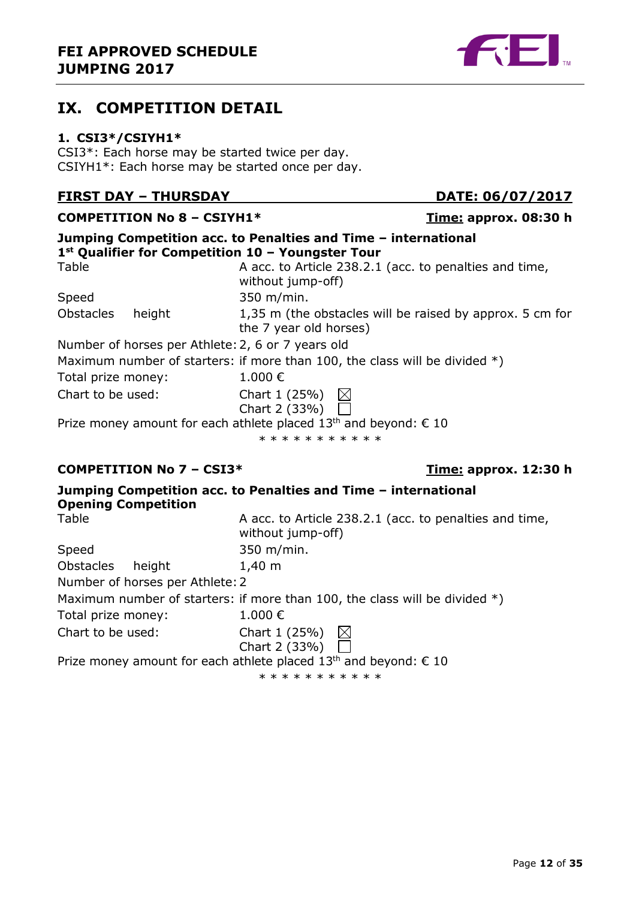# <span id="page-11-0"></span>**IX. COMPETITION DETAIL**

#### <span id="page-11-1"></span>**1. CSI3\*/CSIYH1\***

CSI3\*: Each horse may be started twice per day. CSIYH1\*: Each horse may be started once per day.

# **FIRST DAY – THURSDAY DATE: 06/07/2017**

**COMPETITION No 8 – CSIYH1\* Time: approx. 08:30 h Jumping Competition acc. to Penalties and Time – international 1 st Qualifier for Competition 10 – Youngster Tour** Table **A** acc. to Article 238.2.1 (acc. to penalties and time, without jump-off) Speed 350 m/min. Obstacles height 1,35 m (the obstacles will be raised by approx. 5 cm for the 7 year old horses) Number of horses per Athlete:2, 6 or 7 years old Maximum number of starters: if more than 100, the class will be divided  $*)$ Total prize money:  $1.000 \in$ Chart to be used: Chart 1 (25%)  $\boxtimes$ Chart 2 (33%) Prize money amount for each athlete placed  $13<sup>th</sup>$  and beyond:  $\epsilon$  10 \* \* \* \* \* \* \* \* \* \* \*

### **COMPETITION No 7 – CSI3\* Time: approx. 12:30 h**

| <b>Opening Competition</b>      | Jumping Competition acc. to Penalties and Time - international               |
|---------------------------------|------------------------------------------------------------------------------|
| Table                           | A acc. to Article 238.2.1 (acc. to penalties and time,<br>without jump-off)  |
| Speed                           | 350 m/min.                                                                   |
| Obstacles<br>height             | $1,40 \; m$                                                                  |
| Number of horses per Athlete: 2 |                                                                              |
|                                 | Maximum number of starters: if more than 100, the class will be divided $*)$ |
| Total prize money:              | $1.000 \in$                                                                  |
| Chart to be used:               | Chart 1 (25%) $\boxtimes$<br>Chart 2 (33%) $\overline{\Box}$                 |
|                                 | Prize money amount for each athlete placed $13th$ and beyond: $\epsilon$ 10  |

\* \* \* \* \* \* \* \* \* \*

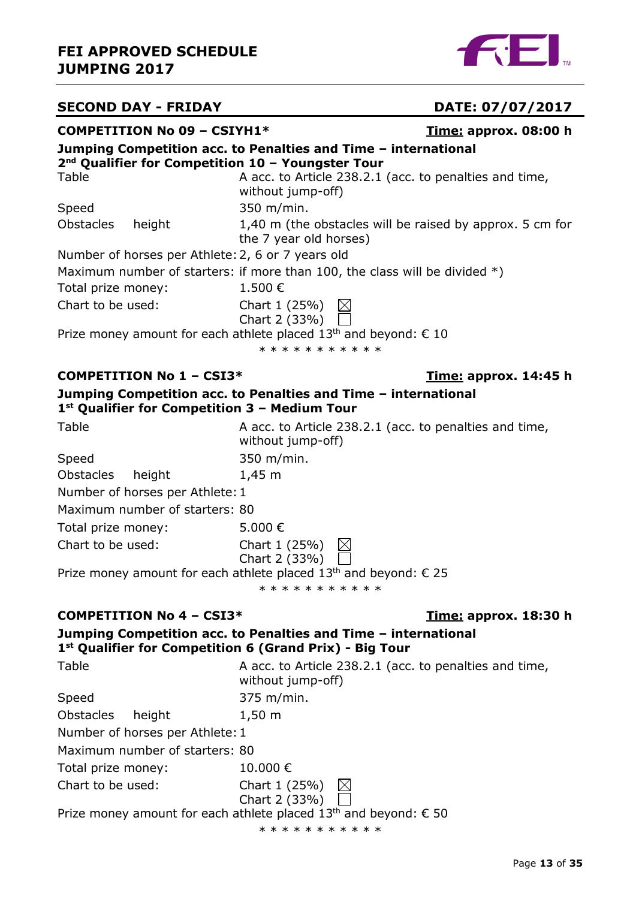

# **SECOND DAY - FRIDAY**  DATE: 07/07/2017

| <b>COMPETITION No 09 - CSIYH1*</b>                                            |                                                                                                                | <u>Time:</u> approx. 08:00 h |
|-------------------------------------------------------------------------------|----------------------------------------------------------------------------------------------------------------|------------------------------|
|                                                                               | Jumping Competition acc. to Penalties and Time - international                                                 |                              |
| 2 <sup>nd</sup> Qualifier for Competition 10 - Youngster Tour<br><b>Table</b> | A acc. to Article 238.2.1 (acc. to penalties and time,<br>without jump-off)                                    |                              |
| Speed                                                                         | 350 m/min.                                                                                                     |                              |
| <b>Obstacles</b><br>height                                                    | 1,40 m (the obstacles will be raised by approx. 5 cm for<br>the 7 year old horses)                             |                              |
| Number of horses per Athlete: 2, 6 or 7 years old                             |                                                                                                                |                              |
| Total prize money:                                                            | Maximum number of starters: if more than 100, the class will be divided $*)$<br>1.500€                         |                              |
| Chart to be used:                                                             | Chart 1 (25%)<br>$\boxtimes$<br>Chart 2 (33%)                                                                  |                              |
|                                                                               | Prize money amount for each athlete placed 13 <sup>th</sup> and beyond: $\epsilon$ 10<br>* * * * * * * * * * * |                              |
| <b>COMPETITION No 1 - CSI3*</b>                                               |                                                                                                                | Time: approx. 14:45 h        |
| $1st$ Qualifier for Competition 3 – Medium Tour                               | Jumping Competition acc. to Penalties and Time - international                                                 |                              |
| Table                                                                         | A acc. to Article 238.2.1 (acc. to penalties and time,<br>without jump-off)                                    |                              |
| Speed                                                                         | 350 m/min.                                                                                                     |                              |
| <b>Obstacles</b><br>height                                                    | $1,45 \; m$                                                                                                    |                              |
| Number of horses per Athlete: 1                                               |                                                                                                                |                              |
| Maximum number of starters: 80                                                |                                                                                                                |                              |
| Total prize money:                                                            | 5.000€                                                                                                         |                              |
| Chart to be used:                                                             | Chart 1 (25%)<br>$\boxtimes$<br>Chart 2 (33%)                                                                  |                              |
|                                                                               | Prize money amount for each athlete placed $13th$ and beyond: $\epsilon$ 25                                    |                              |
|                                                                               | * * * * * * * * * * *                                                                                          |                              |
| <b>COMPETITION No 4 - CSI3*</b>                                               |                                                                                                                | <u>Time:</u> approx. 18:30 h |
| 1 <sup>st</sup> Qualifier for Competition 6 (Grand Prix) - Big Tour           | Jumping Competition acc. to Penalties and Time - international                                                 |                              |
| Table                                                                         | A acc. to Article 238.2.1 (acc. to penalties and time,<br>without jump-off)                                    |                              |
| Speed                                                                         | 375 m/min.                                                                                                     |                              |
| <b>Obstacles</b><br>height                                                    | $1,50 \; m$                                                                                                    |                              |
| Number of horses per Athlete: 1                                               |                                                                                                                |                              |
| Maximum number of starters: 80                                                |                                                                                                                |                              |
| Total prize money:                                                            | 10.000€                                                                                                        |                              |
| Chart to be used:                                                             | Chart 1 (25%)<br>Chart 2 (33%)                                                                                 |                              |

Prize money amount for each athlete placed 13<sup>th</sup> and beyond:  $\epsilon$  50

\* \* \* \* \* \* \* \* \* \* \*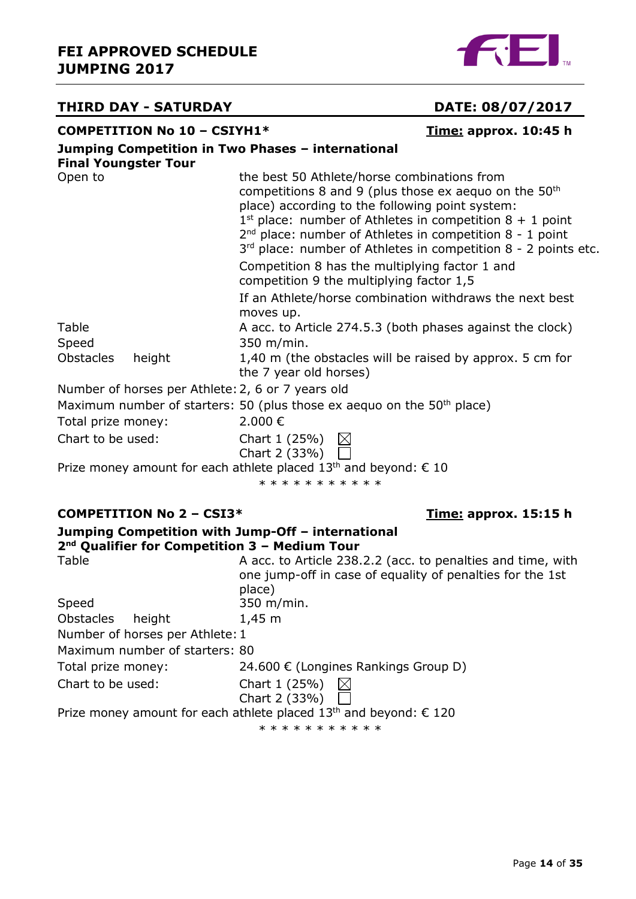# **FEI APPROVED SCHEDULE JUMPING 2017**



# **THIRD DAY - SATURDAY DATE: 08/07/2017**

# **COMPETITION No 10 – CSIYH1\* Time: approx. 10:45 h**

| <b>Final Youngster Tour</b> |                                 | Jumping Competition in Two Phases - international                                                                                                                                                                                                                                                                                                                        |
|-----------------------------|---------------------------------|--------------------------------------------------------------------------------------------------------------------------------------------------------------------------------------------------------------------------------------------------------------------------------------------------------------------------------------------------------------------------|
| Open to                     |                                 | the best 50 Athlete/horse combinations from<br>competitions 8 and 9 (plus those ex aequo on the $50th$<br>place) according to the following point system:<br>$1^{st}$ place: number of Athletes in competition $8 + 1$ point<br>2 <sup>nd</sup> place: number of Athletes in competition 8 - 1 point<br>$3rd$ place: number of Athletes in competition 8 - 2 points etc. |
|                             |                                 | Competition 8 has the multiplying factor 1 and<br>competition 9 the multiplying factor 1,5                                                                                                                                                                                                                                                                               |
|                             |                                 | If an Athlete/horse combination withdraws the next best<br>moves up.                                                                                                                                                                                                                                                                                                     |
| Table<br>Speed              |                                 | A acc. to Article 274.5.3 (both phases against the clock)<br>350 m/min.                                                                                                                                                                                                                                                                                                  |
| <b>Obstacles</b>            | height                          | 1,40 m (the obstacles will be raised by approx. 5 cm for<br>the 7 year old horses)                                                                                                                                                                                                                                                                                       |
|                             |                                 | Number of horses per Athlete: 2, 6 or 7 years old                                                                                                                                                                                                                                                                                                                        |
|                             |                                 | Maximum number of starters: 50 (plus those ex aequo on the 50 <sup>th</sup> place)                                                                                                                                                                                                                                                                                       |
| Total prize money:          |                                 | 2.000€                                                                                                                                                                                                                                                                                                                                                                   |
| Chart to be used:           |                                 | Chart 1 (25%) $\boxtimes$<br>Chart 2 (33%)                                                                                                                                                                                                                                                                                                                               |
|                             |                                 | Prize money amount for each athlete placed 13 <sup>th</sup> and beyond: $\epsilon$ 10<br>* * * * * * * * * * *                                                                                                                                                                                                                                                           |
|                             | <b>COMPETITION No 2 - CSI3*</b> | <u>Time:</u> approx. 15:15 h                                                                                                                                                                                                                                                                                                                                             |
|                             |                                 | Jumping Competition with Jump-Off - international<br>$2nd$ Qualifier for Competition 3 - Medium Tour                                                                                                                                                                                                                                                                     |
| Table                       |                                 | A acc. to Article 238.2.2 (acc. to penalties and time, with<br>one jump-off in case of equality of penalties for the 1st<br>place)                                                                                                                                                                                                                                       |

|                                 | place)                                                                       |
|---------------------------------|------------------------------------------------------------------------------|
| Speed                           | 350 m/min.                                                                   |
| Obstacles height                | $1,45 \; m$                                                                  |
| Number of horses per Athlete: 1 |                                                                              |
| Maximum number of starters: 80  |                                                                              |
| Total prize money:              | 24.600 € (Longines Rankings Group D)                                         |
| Chart to be used:               | Chart 1 (25%) $\boxtimes$                                                    |
|                                 | Chart 2 (33%) $\Box$                                                         |
|                                 | Prize money amount for each athlete placed $13th$ and beyond: $\epsilon$ 120 |
|                                 |                                                                              |

\* \* \* \* \* \* \* \* \* \* \*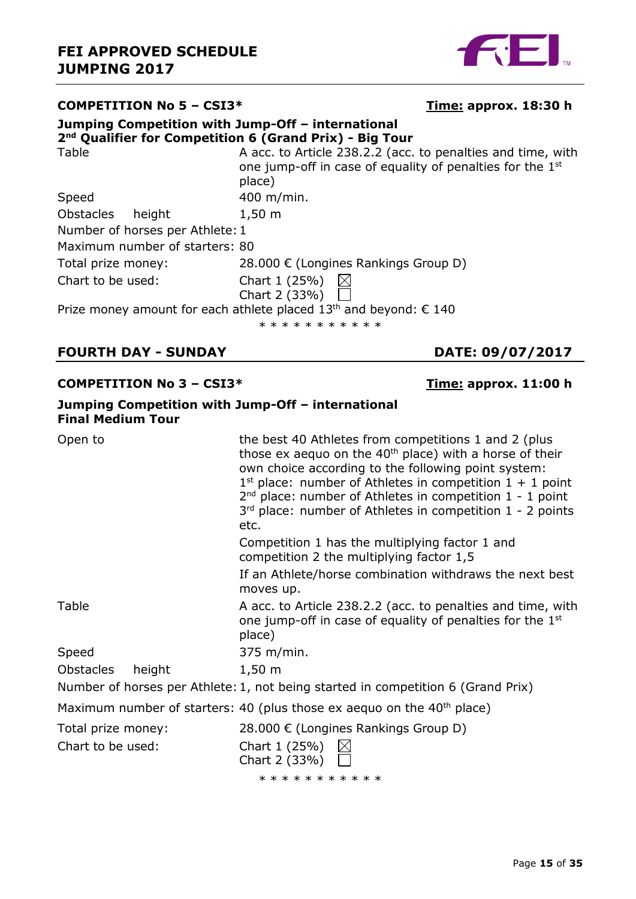

#### **COMPETITION No 5 – CSI3\* Time: approx. 18:30 h Jumping Competition with Jump-Off – international 2 nd Qualifier for Competition 6 (Grand Prix) - Big Tour** Table **A acc. to Article 238.2.2** (acc. to penalties and time, with one jump-off in case of equality of penalties for the 1<sup>st</sup> place) Speed 400 m/min. Obstacles height 1,50 m Number of horses per Athlete:1 Maximum number of starters: 80 Total prize money: 28.000 € (Longines Rankings Group D) Chart to be used: Chart 1 (25%)  $\boxtimes$ Chart 2 (33%) Prize money amount for each athlete placed  $13<sup>th</sup>$  and beyond:  $\epsilon$  140

\* \* \* \* \* \* \* \* \* \*

# **FOURTH DAY - SUNDAY DATE: 09/07/2017**

#### **COMPETITION No 3 – CSI3\* Time: approx. 11:00 h**

**Jumping Competition with Jump-Off – international**

| <b>Final Medium Tour</b>   |                                                                                                                                                                                                                                                                                                                                                                                 |
|----------------------------|---------------------------------------------------------------------------------------------------------------------------------------------------------------------------------------------------------------------------------------------------------------------------------------------------------------------------------------------------------------------------------|
| Open to                    | the best 40 Athletes from competitions 1 and 2 (plus<br>those ex aequo on the $40th$ place) with a horse of their<br>own choice according to the following point system:<br>$1st$ place: number of Athletes in competition $1 + 1$ point<br>$2nd$ place: number of Athletes in competition $1 - 1$ point<br>$3rd$ place: number of Athletes in competition 1 - 2 points<br>etc. |
|                            | Competition 1 has the multiplying factor 1 and<br>competition 2 the multiplying factor 1,5                                                                                                                                                                                                                                                                                      |
|                            | If an Athlete/horse combination withdraws the next best<br>moves up.                                                                                                                                                                                                                                                                                                            |
| Table                      | A acc. to Article 238.2.2 (acc. to penalties and time, with<br>one jump-off in case of equality of penalties for the 1 <sup>st</sup><br>place)                                                                                                                                                                                                                                  |
| Speed                      | 375 m/min.                                                                                                                                                                                                                                                                                                                                                                      |
| <b>Obstacles</b><br>height | $1,50 \; m$                                                                                                                                                                                                                                                                                                                                                                     |
|                            | Number of horses per Athlete: 1, not being started in competition 6 (Grand Prix)                                                                                                                                                                                                                                                                                                |
|                            | Maximum number of starters: 40 (plus those ex aequo on the $40th$ place)                                                                                                                                                                                                                                                                                                        |
| Total prize money:         | 28.000 € (Longines Rankings Group D)                                                                                                                                                                                                                                                                                                                                            |
| Chart to be used:          | Chart 1 (25%)<br>$\bowtie$<br>Chart 2 (33%) $\Box$                                                                                                                                                                                                                                                                                                                              |
|                            | * * * * * * * * * * *                                                                                                                                                                                                                                                                                                                                                           |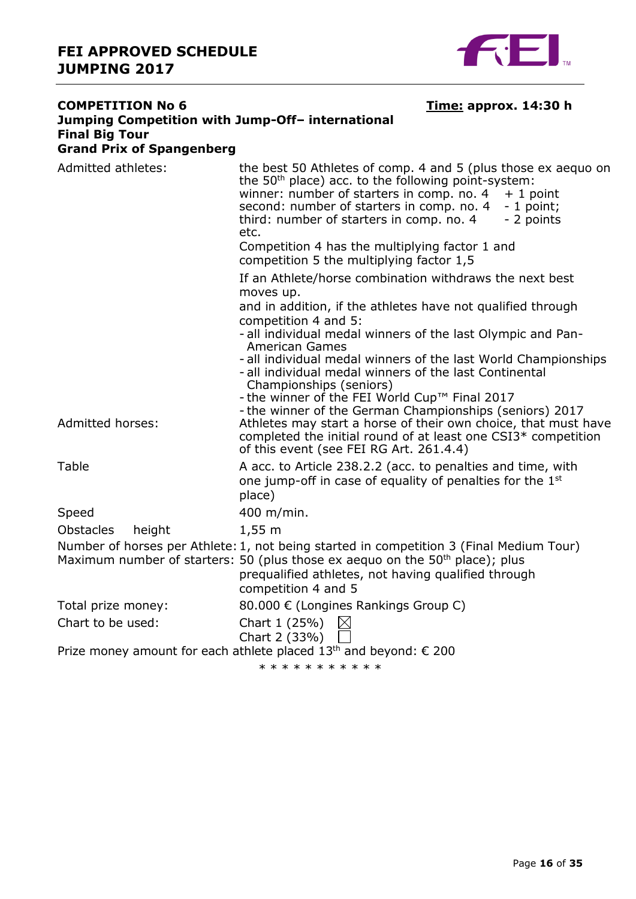

| <b>COMPETITION No 6</b>                                   | <u>Time:</u> approx. 14:30 h                                                                                                                                                                                                                                                                                                                                                                                            |  |  |  |
|-----------------------------------------------------------|-------------------------------------------------------------------------------------------------------------------------------------------------------------------------------------------------------------------------------------------------------------------------------------------------------------------------------------------------------------------------------------------------------------------------|--|--|--|
| Jumping Competition with Jump-Off- international          |                                                                                                                                                                                                                                                                                                                                                                                                                         |  |  |  |
| <b>Final Big Tour</b><br><b>Grand Prix of Spangenberg</b> |                                                                                                                                                                                                                                                                                                                                                                                                                         |  |  |  |
| Admitted athletes:                                        | the best 50 Athletes of comp. 4 and 5 (plus those ex aequo on<br>the 50 <sup>th</sup> place) acc. to the following point-system:<br>winner: number of starters in comp. no. 4<br>$+1$ point<br>second: number of starters in comp. no. 4<br>$-1$ point;<br>- 2 points<br>third: number of starters in comp. no. 4<br>etc.<br>Competition 4 has the multiplying factor 1 and<br>competition 5 the multiplying factor 1,5 |  |  |  |
|                                                           | If an Athlete/horse combination withdraws the next best<br>moves up.                                                                                                                                                                                                                                                                                                                                                    |  |  |  |
|                                                           | and in addition, if the athletes have not qualified through<br>competition 4 and 5:<br>- all individual medal winners of the last Olympic and Pan-                                                                                                                                                                                                                                                                      |  |  |  |
|                                                           | American Games<br>- all individual medal winners of the last World Championships<br>- all individual medal winners of the last Continental<br>Championships (seniors)<br>- the winner of the FEI World Cup™ Final 2017                                                                                                                                                                                                  |  |  |  |
| Admitted horses:                                          | - the winner of the German Championships (seniors) 2017<br>Athletes may start a horse of their own choice, that must have<br>completed the initial round of at least one CSI3 <sup>*</sup> competition<br>of this event (see FEI RG Art. 261.4.4)                                                                                                                                                                       |  |  |  |
| Table                                                     | A acc. to Article 238.2.2 (acc. to penalties and time, with<br>one jump-off in case of equality of penalties for the 1 <sup>st</sup><br>place)                                                                                                                                                                                                                                                                          |  |  |  |
| Speed                                                     | 400 m/min.                                                                                                                                                                                                                                                                                                                                                                                                              |  |  |  |
| <b>Obstacles</b><br>height                                | $1,55 \; m$                                                                                                                                                                                                                                                                                                                                                                                                             |  |  |  |
|                                                           | Number of horses per Athlete: 1, not being started in competition 3 (Final Medium Tour)<br>Maximum number of starters: 50 (plus those ex aequo on the 50 <sup>th</sup> place); plus<br>prequalified athletes, not having qualified through<br>competition 4 and 5                                                                                                                                                       |  |  |  |
| Total prize money:                                        | 80.000 € (Longines Rankings Group C)                                                                                                                                                                                                                                                                                                                                                                                    |  |  |  |
| Chart to be used:                                         | Chart 1 (25%)<br>$\boxtimes$<br>Chart 2 (33%)                                                                                                                                                                                                                                                                                                                                                                           |  |  |  |
|                                                           | Prize money amount for each athlete placed 13 <sup>th</sup> and beyond: € 200<br>* * * * * * * * * * *                                                                                                                                                                                                                                                                                                                  |  |  |  |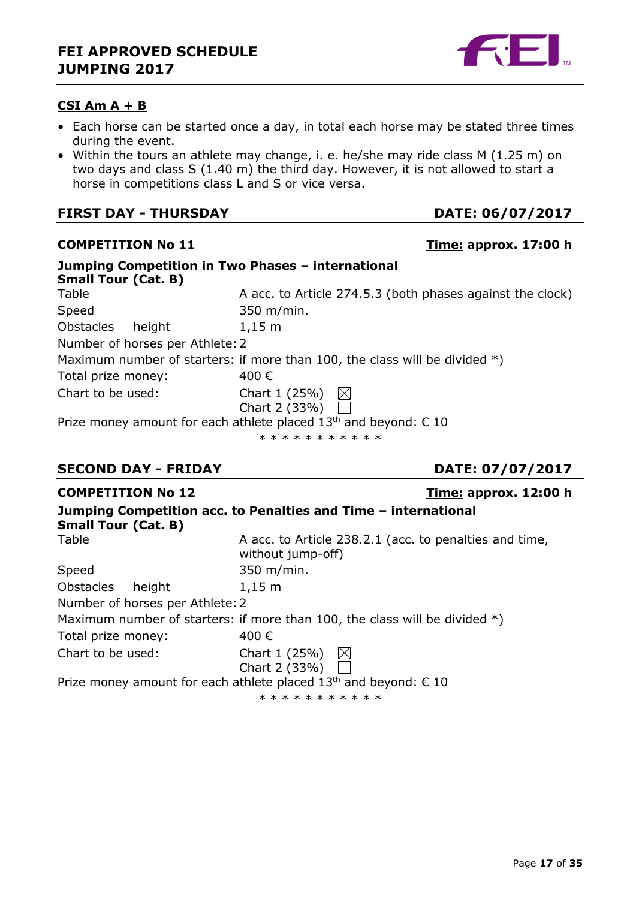### **CSI Am A + B**

- Each horse can be started once a day, in total each horse may be stated three times during the event.
- Within the tours an athlete may change, i. e. he/she may ride class M (1.25 m) on two days and class S (1.40 m) the third day. However, it is not allowed to start a horse in competitions class L and S or vice versa.

### **FIRST DAY - THURSDAY DATE: 06/07/2017**

| Jumping Competition in Two Phases - international<br><b>Small Tour (Cat. B)</b> |                                                                                       |
|---------------------------------------------------------------------------------|---------------------------------------------------------------------------------------|
| Table                                                                           | A acc. to Article 274.5.3 (both phases against the clock)                             |
| Speed                                                                           | 350 m/min.                                                                            |
| Obstacles<br>height                                                             | $1,15 \; m$                                                                           |
| Number of horses per Athlete: 2                                                 |                                                                                       |
|                                                                                 | Maximum number of starters: if more than 100, the class will be divided $*)$          |
| Total prize money:                                                              | 400€                                                                                  |
| Chart to be used:                                                               | Chart 1 (25%) $\bowtie$                                                               |
|                                                                                 | Chart 2 (33%) $\sqrt{ }$                                                              |
|                                                                                 | Prize money amount for each athlete placed 13 <sup>th</sup> and beyond: $\epsilon$ 10 |
|                                                                                 | * * * * * * * * * * *                                                                 |

# **SECOND DAY - FRIDAY DATE: 07/07/2017**

### **COMPETITION No 12 Time: approx. 12:00 h**

| Jumping Competition acc. to Penalties and Time - international<br><b>Small Tour (Cat. B)</b> |                                                                              |  |  |
|----------------------------------------------------------------------------------------------|------------------------------------------------------------------------------|--|--|
| Table                                                                                        | A acc. to Article 238.2.1 (acc. to penalties and time,<br>without jump-off)  |  |  |
| Speed                                                                                        | 350 m/min.                                                                   |  |  |
| Obstacles<br>height                                                                          | $1,15 \; m$                                                                  |  |  |
| Number of horses per Athlete: 2                                                              |                                                                              |  |  |
|                                                                                              | Maximum number of starters: if more than 100, the class will be divided $*)$ |  |  |
| Total prize money:                                                                           | 400€                                                                         |  |  |
| Chart to be used:                                                                            | Chart 1 (25%) $\bowtie$                                                      |  |  |
|                                                                                              | Chart 2 $(33%)$                                                              |  |  |
|                                                                                              | Prize money amount for each athlete placed $13th$ and beyond: $\epsilon$ 10  |  |  |
|                                                                                              | * * * * * * * * * * *                                                        |  |  |



# **COMPETITION No 11 Time: approx. 17:00 h**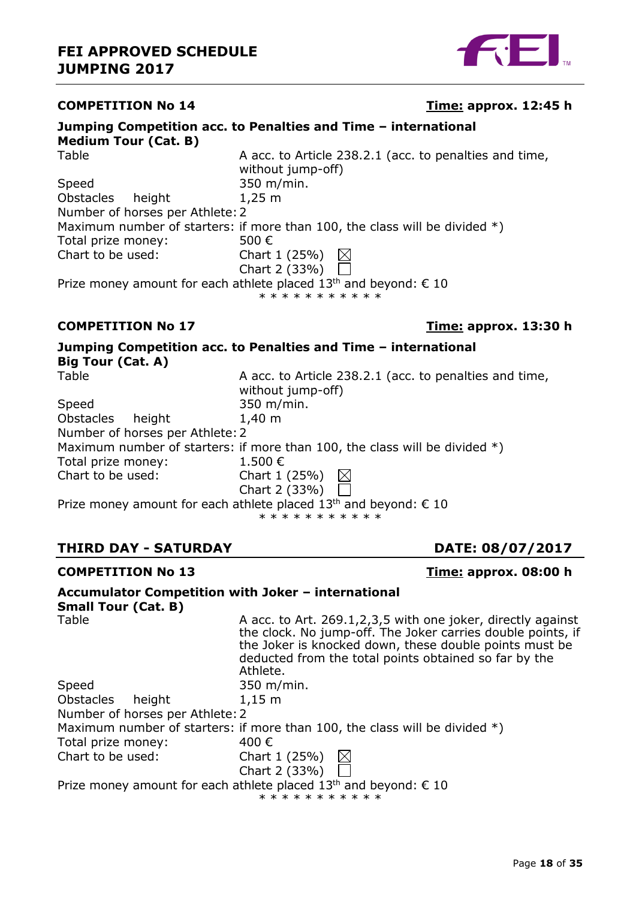

# Page **18** of **35**

# **COMPETITION No 14 Time: approx. 12:45 h**

| ouniphily competition acc. to r chantics and Thile |                                                                                                                |
|----------------------------------------------------|----------------------------------------------------------------------------------------------------------------|
| <b>Medium Tour (Cat. B)</b>                        |                                                                                                                |
| Table                                              | A acc. to Article 238.2.1 (acc. to penalties and time,<br>without jump-off)                                    |
| Speed                                              | 350 m/min.                                                                                                     |
| Obstacles height                                   | $1,25 \; m$                                                                                                    |
| Number of horses per Athlete: 2                    |                                                                                                                |
|                                                    | Maximum number of starters: if more than 100, the class will be divided $*)$                                   |
| Total prize money:                                 | 500 €                                                                                                          |
| Chart to be used:                                  | Chart $1(25%)$                                                                                                 |
|                                                    | Chart 2 (33%)                                                                                                  |
|                                                    | Prize money amount for each athlete placed 13 <sup>th</sup> and beyond: $\epsilon$ 10<br>* * * * * * * * * * * |
|                                                    |                                                                                                                |

#### **COMPETITION No 17 Time: approx. 13:30 h**

# **Jumping Competition acc. to Penalties and Time – international Big Tour (Cat. A)**

| Table                                                                       | A acc. to Article 238.2.1 (acc. to penalties and time,                       |  |  |  |
|-----------------------------------------------------------------------------|------------------------------------------------------------------------------|--|--|--|
|                                                                             | without jump-off)                                                            |  |  |  |
| Speed                                                                       | 350 m/min.                                                                   |  |  |  |
| Obstacles<br>height                                                         | $1,40 \; m$                                                                  |  |  |  |
| Number of horses per Athlete: 2                                             |                                                                              |  |  |  |
|                                                                             | Maximum number of starters: if more than 100, the class will be divided $*)$ |  |  |  |
| Total prize money:                                                          | $1.500 \in$                                                                  |  |  |  |
| Chart to be used:                                                           | Chart 1 (25%)                                                                |  |  |  |
|                                                                             | Chart 2 (33%)                                                                |  |  |  |
| Prize money amount for each athlete placed $13th$ and beyond: $\epsilon$ 10 |                                                                              |  |  |  |
|                                                                             | * * * * * * * * * * *                                                        |  |  |  |

# **THIRD DAY - SATURDAY DATE: 08/07/2017**

#### **COMPETITION No 13 Time: approx. 08:00 h**

# **Accumulator Competition with Joker – international**

**Small Tour (Cat. B)**

| Table                           | A acc. to Art. 269.1,2,3,5 with one joker, directly against<br>the clock. No jump-off. The Joker carries double points, if<br>the Joker is knocked down, these double points must be<br>deducted from the total points obtained so far by the<br>Athlete. |
|---------------------------------|-----------------------------------------------------------------------------------------------------------------------------------------------------------------------------------------------------------------------------------------------------------|
| Speed                           | $350 \; \text{m/min}.$                                                                                                                                                                                                                                    |
| Obstacles<br>height             | $1,15 \; m$                                                                                                                                                                                                                                               |
| Number of horses per Athlete: 2 |                                                                                                                                                                                                                                                           |
|                                 | Maximum number of starters: if more than 100, the class will be divided $*)$                                                                                                                                                                              |
| Total prize money:              | 400 €                                                                                                                                                                                                                                                     |
| Chart to be used:               | Chart 1 (25%)                                                                                                                                                                                                                                             |
|                                 | Chart 2 (33%) $\Gamma$                                                                                                                                                                                                                                    |
|                                 | Prize money amount for each athlete placed $13th$ and beyond: $\epsilon$ 10<br>* * * * * * * * * * *                                                                                                                                                      |

H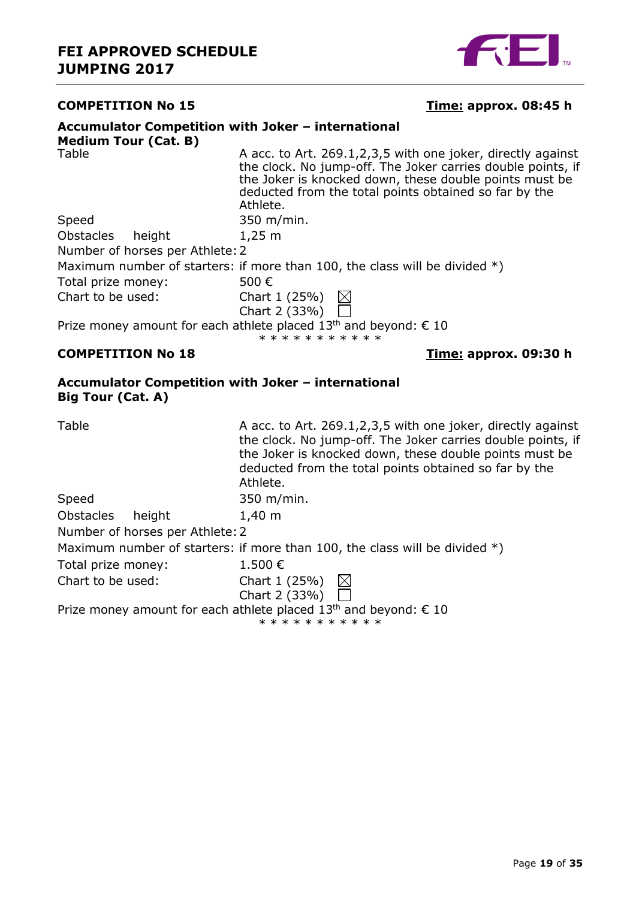

#### **COMPETITION No 15 Time: approx. 08:45 h**

| Accumulator Competition with Joker - international                             |                                                                                                                                                                                                                                                              |
|--------------------------------------------------------------------------------|--------------------------------------------------------------------------------------------------------------------------------------------------------------------------------------------------------------------------------------------------------------|
| <b>Medium Tour (Cat. B)</b>                                                    |                                                                                                                                                                                                                                                              |
| Table                                                                          | A acc. to Art. 269.1,2,3,5 with one joker, directly against<br>the clock. No jump-off. The Joker carries double points, if<br>the Joker is knocked down, these double points must be<br>deducted from the total points obtained so far by the<br>Athlete.    |
| Speed                                                                          | 350 m/min.                                                                                                                                                                                                                                                   |
| <b>Obstacles</b><br>height                                                     | $1,25 \; m$                                                                                                                                                                                                                                                  |
| Number of horses per Athlete: 2                                                |                                                                                                                                                                                                                                                              |
|                                                                                | Maximum number of starters: if more than 100, the class will be divided $*)$                                                                                                                                                                                 |
| Total prize money:                                                             | 500€                                                                                                                                                                                                                                                         |
| Chart to be used:                                                              | Chart 1 (25%) $\boxtimes$                                                                                                                                                                                                                                    |
|                                                                                | Chart 2 (33%)                                                                                                                                                                                                                                                |
|                                                                                | Prize money amount for each athlete placed 13 <sup>th</sup> and beyond: € 10<br>* * * * * * * * * * *                                                                                                                                                        |
| <b>COMPETITION No 18</b>                                                       | <u>Time:</u> approx. 09:30 h                                                                                                                                                                                                                                 |
| Accumulator Competition with Joker - international<br><b>Big Tour (Cat. A)</b> |                                                                                                                                                                                                                                                              |
| Table                                                                          | A acc. to Art. 269.1, 2, 3, 5 with one joker, directly against<br>the clock. No jump-off. The Joker carries double points, if<br>the Joker is knocked down, these double points must be<br>deducted from the total points obtained so far by the<br>Athlete. |
| Speed                                                                          | 350 m/min.                                                                                                                                                                                                                                                   |
| Obstacles<br>height                                                            | $1,40 \; m$                                                                                                                                                                                                                                                  |
| Number of horses per Athlete: 2                                                |                                                                                                                                                                                                                                                              |
|                                                                                | Maximum number of starters: if more than 100, the class will be divided $*)$                                                                                                                                                                                 |
| Total prize money:                                                             | 1.500€                                                                                                                                                                                                                                                       |
| Chart to be used:                                                              | Chart 1 (25%)<br>$\boxtimes$                                                                                                                                                                                                                                 |
|                                                                                | Chart 2 (33%)                                                                                                                                                                                                                                                |
|                                                                                | Prize money amount for each athlete placed $13th$ and beyond: $\epsilon$ 10<br>* * * * * * * * * * *                                                                                                                                                         |
|                                                                                |                                                                                                                                                                                                                                                              |
|                                                                                |                                                                                                                                                                                                                                                              |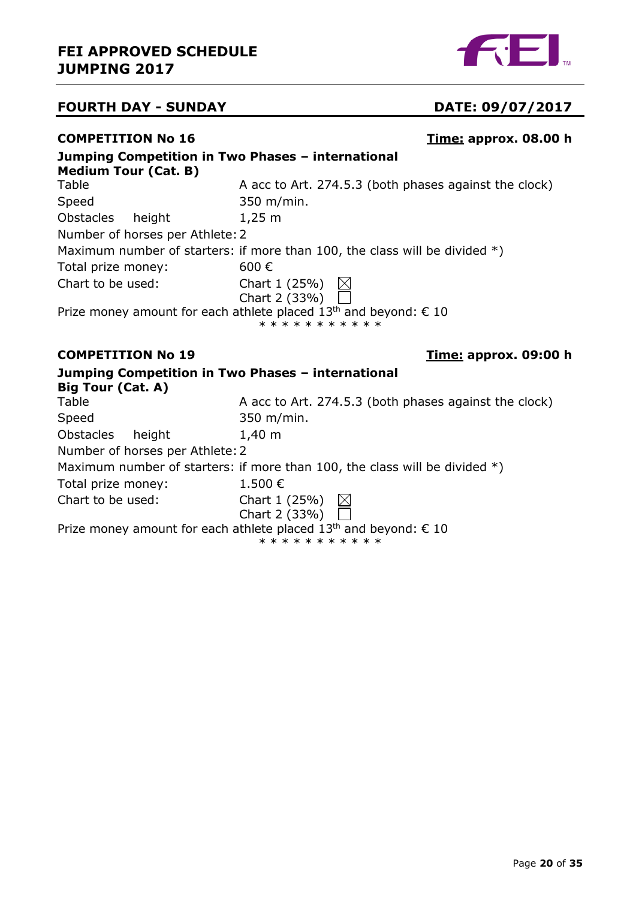

# **FOURTH DAY - SUNDAY DATE: 09/07/2017**

### **COMPETITION No 16 Time: approx. 08.00 h**

| Jumping Competition in Two Phases - international<br><b>Medium Tour (Cat. B)</b> |                                                                                                       |
|----------------------------------------------------------------------------------|-------------------------------------------------------------------------------------------------------|
| Table                                                                            | A acc to Art. 274.5.3 (both phases against the clock)                                                 |
| Speed                                                                            | 350 m/min.                                                                                            |
| Obstacles<br>height                                                              | $1,25 \; m$                                                                                           |
| Number of horses per Athlete: 2                                                  |                                                                                                       |
|                                                                                  | Maximum number of starters: if more than 100, the class will be divided $*)$                          |
| Total prize money:                                                               | 600€                                                                                                  |
| Chart to be used:                                                                | Chart 1 (25%) $\boxtimes$<br>Chart 2 (33%)                                                            |
|                                                                                  | Prize money amount for each athlete placed 13 <sup>th</sup> and beyond: € 10<br>* * * * * * * * * * * |
|                                                                                  |                                                                                                       |
| <b>COMPETITION No 19</b>                                                         | <u>Time:</u> approx. 09:00 h                                                                          |
| Jumping Competition in Two Phases - international                                |                                                                                                       |
| Big Tour (Cat. A)                                                                |                                                                                                       |
| Table                                                                            | A acc to Art. 274.5.3 (both phases against the clock)                                                 |
| Speed                                                                            | 350 m/min.                                                                                            |
| Obstacles<br>height                                                              | $1,40 \; m$                                                                                           |
| Number of horses per Athlete: 2                                                  |                                                                                                       |
|                                                                                  | Maximum number of starters: if more than 100, the class will be divided $*)$                          |
| Total prize money:                                                               | 1.500€                                                                                                |
| Chart to be used:                                                                | $\boxtimes$<br>Chart 1 (25%)<br>Chart 2 (33%)                                                         |

\* \* \* \* \* \* \* \* \* \* \*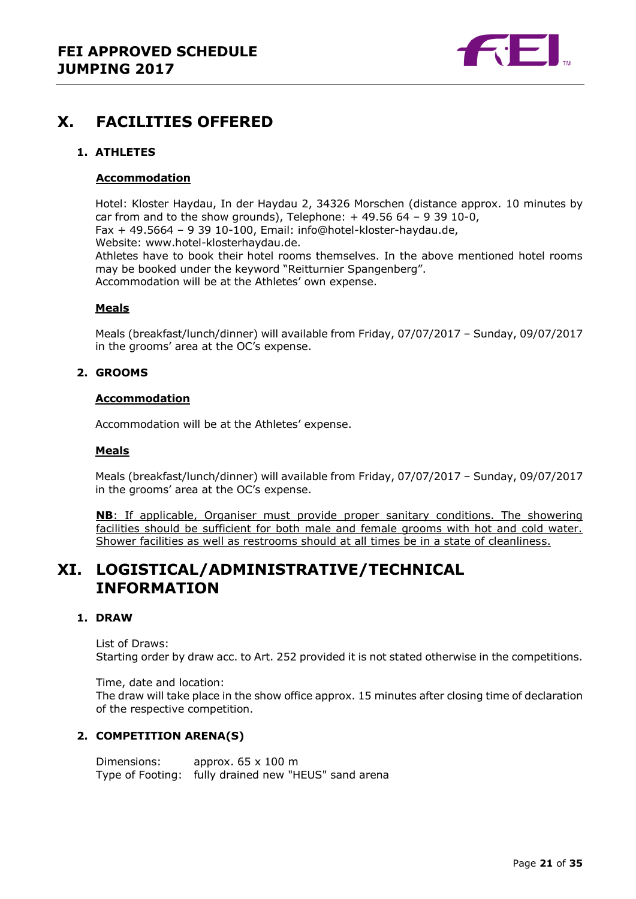

# <span id="page-20-0"></span>**X. FACILITIES OFFERED**

#### <span id="page-20-1"></span>**1. ATHLETES**

#### **Accommodation**

Hotel: Kloster Haydau, In der Haydau 2, 34326 Morschen (distance approx. 10 minutes by car from and to the show grounds), Telephone:  $+49.5664 - 93910-0$ , Fax + 49.5664 – 9 39 10-100, Email: info@hotel-kloster-haydau.de, Website: www.hotel-klosterhaydau.de. Athletes have to book their hotel rooms themselves. In the above mentioned hotel rooms may be booked under the keyword "Reitturnier Spangenberg". Accommodation will be at the Athletes' own expense.

#### **Meals**

Meals (breakfast/lunch/dinner) will available from Friday, 07/07/2017 – Sunday, 09/07/2017 in the grooms' area at the OC's expense.

#### <span id="page-20-2"></span>**2. GROOMS**

#### **Accommodation**

Accommodation will be at the Athletes' expense.

#### **Meals**

Meals (breakfast/lunch/dinner) will available from Friday, 07/07/2017 – Sunday, 09/07/2017 in the grooms' area at the OC's expense.

**NB**: If applicable, Organiser must provide proper sanitary conditions. The showering facilities should be sufficient for both male and female grooms with hot and cold water. Shower facilities as well as restrooms should at all times be in a state of cleanliness.

# <span id="page-20-3"></span>**XI. LOGISTICAL/ADMINISTRATIVE/TECHNICAL INFORMATION**

#### <span id="page-20-4"></span>**1. DRAW**

List of Draws: Starting order by draw acc. to Art. 252 provided it is not stated otherwise in the competitions.

Time, date and location: The draw will take place in the show office approx. 15 minutes after closing time of declaration of the respective competition.

#### <span id="page-20-5"></span>**2. COMPETITION ARENA(S)**

Dimensions: approx. 65 x 100 m Type of Footing: fully drained new "HEUS" sand arena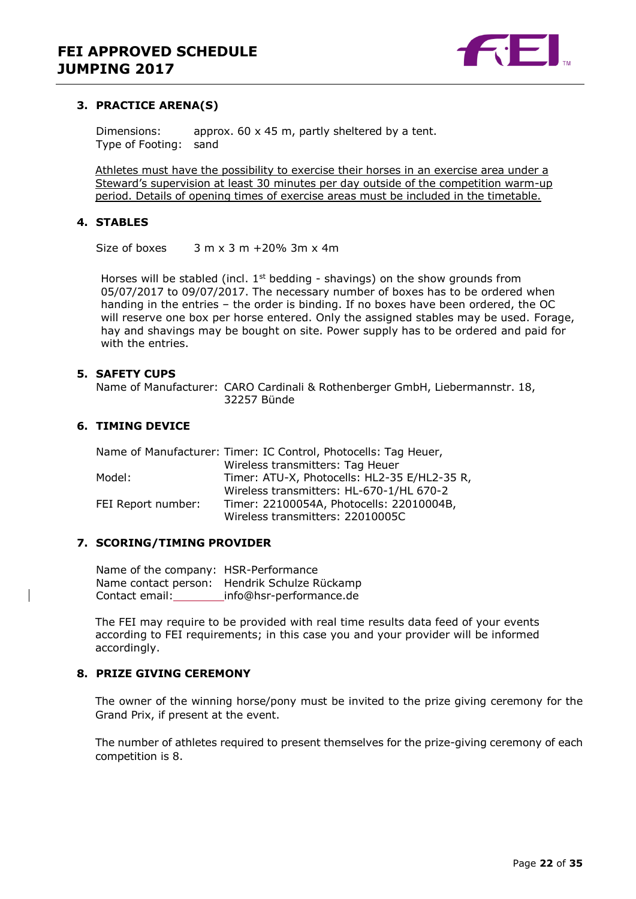

#### <span id="page-21-0"></span>**3. PRACTICE ARENA(S)**

Dimensions: approx. 60 x 45 m, partly sheltered by a tent. Type of Footing: sand

Athletes must have the possibility to exercise their horses in an exercise area under a Steward's supervision at least 30 minutes per day outside of the competition warm-up period. Details of opening times of exercise areas must be included in the timetable.

#### <span id="page-21-1"></span>**4. STABLES**

Size of boxes  $3 \text{ m} \times 3 \text{ m} + 20\%$  3m  $\times$  4m

Horses will be stabled (incl.  $1<sup>st</sup>$  bedding - shavings) on the show grounds from 05/07/2017 to 09/07/2017. The necessary number of boxes has to be ordered when handing in the entries – the order is binding. If no boxes have been ordered, the OC will reserve one box per horse entered. Only the assigned stables may be used. Forage, hay and shavings may be bought on site. Power supply has to be ordered and paid for with the entries.

#### <span id="page-21-2"></span>**5. SAFETY CUPS**

Name of Manufacturer: CARO Cardinali & Rothenberger GmbH, Liebermannstr. 18, 32257 Bünde

#### <span id="page-21-3"></span>**6. TIMING DEVICE**

|                    | Name of Manufacturer: Timer: IC Control, Photocells: Tag Heuer, |
|--------------------|-----------------------------------------------------------------|
|                    | Wireless transmitters: Tag Heuer                                |
| Model:             | Timer: ATU-X, Photocells: HL2-35 E/HL2-35 R,                    |
|                    | Wireless transmitters: HL-670-1/HL 670-2                        |
| FEI Report number: | Timer: 22100054A, Photocells: 22010004B,                        |
|                    | Wireless transmitters: 22010005C                                |

#### <span id="page-21-4"></span>**7. SCORING/TIMING PROVIDER**

Name of the company: HSR-Performance Name contact person: Hendrik Schulze Rückamp Contact email: info@hsr-performance.de

The FEI may require to be provided with real time results data feed of your events according to FEI requirements; in this case you and your provider will be informed accordingly.

#### <span id="page-21-5"></span>**8. PRIZE GIVING CEREMONY**

The owner of the winning horse/pony must be invited to the prize giving ceremony for the Grand Prix, if present at the event.

The number of athletes required to present themselves for the prize-giving ceremony of each competition is 8.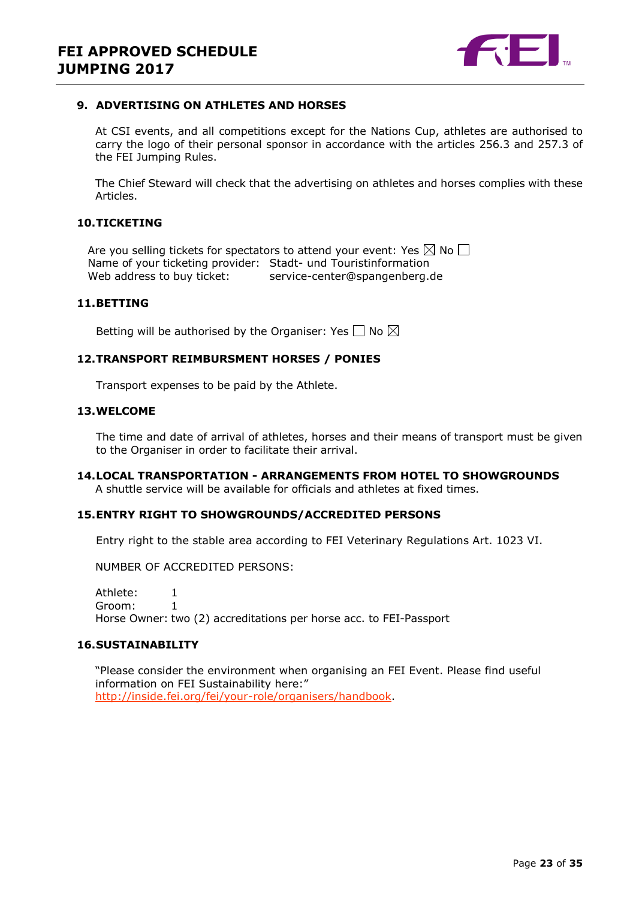

#### <span id="page-22-0"></span>**9. ADVERTISING ON ATHLETES AND HORSES**

At CSI events, and all competitions except for the Nations Cup, athletes are authorised to carry the logo of their personal sponsor in accordance with the articles 256.3 and 257.3 of the FEI Jumping Rules.

The Chief Steward will check that the advertising on athletes and horses complies with these Articles.

#### <span id="page-22-1"></span>**10.TICKETING**

Are you selling tickets for spectators to attend your event: Yes  $\boxtimes$  No  $\Box$ Name of your ticketing provider: Stadt- und Touristinformation Web address to buy ticket: service-center@spangenberg.de

#### <span id="page-22-2"></span>**11.BETTING**

Betting will be authorised by the Organiser: Yes  $\Box$  No  $\boxtimes$ 

#### <span id="page-22-3"></span>**12.TRANSPORT REIMBURSMENT HORSES / PONIES**

Transport expenses to be paid by the Athlete.

#### <span id="page-22-4"></span>**13.WELCOME**

The time and date of arrival of athletes, horses and their means of transport must be given to the Organiser in order to facilitate their arrival.

### <span id="page-22-5"></span>**14.LOCAL TRANSPORTATION - ARRANGEMENTS FROM HOTEL TO SHOWGROUNDS**

A shuttle service will be available for officials and athletes at fixed times.

#### <span id="page-22-6"></span>**15.ENTRY RIGHT TO SHOWGROUNDS/ACCREDITED PERSONS**

Entry right to the stable area according to FEI Veterinary Regulations Art. 1023 VI.

NUMBER OF ACCREDITED PERSONS:

Athlete: 1 Groom: 1 Horse Owner: two (2) accreditations per horse acc. to FEI-Passport

#### <span id="page-22-7"></span>**16.SUSTAINABILITY**

"Please consider the environment when organising an FEI Event. Please find useful information on FEI Sustainability here:" [http://inside.fei.org/fei/your-role/organisers/handbook.](http://inside.fei.org/fei/your-role/organisers/handbook)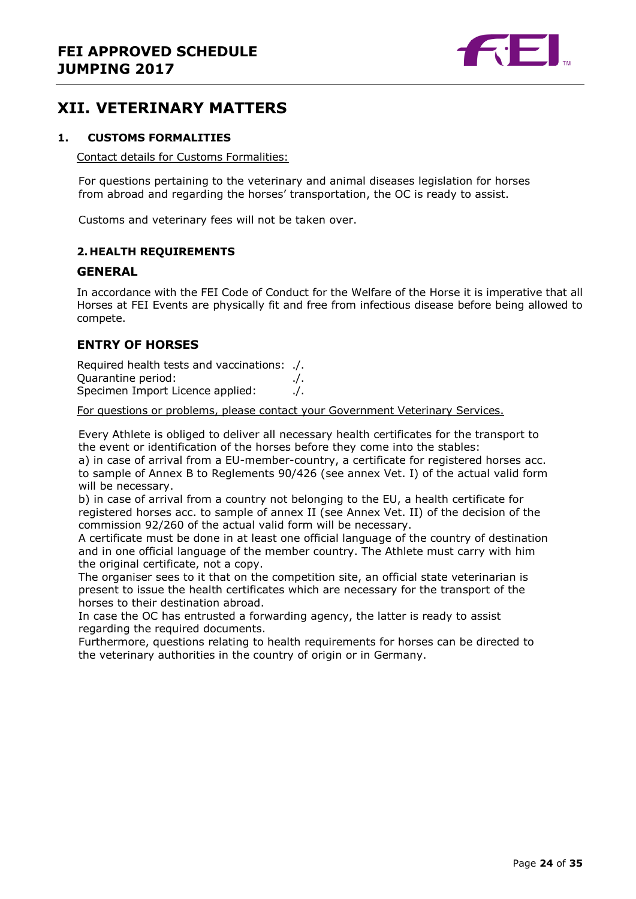

# <span id="page-23-0"></span>**XII. VETERINARY MATTERS**

#### <span id="page-23-1"></span>**1. CUSTOMS FORMALITIES**

Contact details for Customs Formalities:

For questions pertaining to the veterinary and animal diseases legislation for horses from abroad and regarding the horses' transportation, the OC is ready to assist.

Customs and veterinary fees will not be taken over.

#### <span id="page-23-2"></span>**2. HEALTH REQUIREMENTS**

#### **GENERAL**

In accordance with the FEI Code of Conduct for the Welfare of the Horse it is imperative that all Horses at FEI Events are physically fit and free from infectious disease before being allowed to compete.

#### **ENTRY OF HORSES**

Required health tests and vaccinations: ./. Quarantine period: ./. Specimen Import Licence applied: . . . /.

For questions or problems, please contact your Government Veterinary Services.

Every Athlete is obliged to deliver all necessary health certificates for the transport to the event or identification of the horses before they come into the stables:

a) in case of arrival from a EU-member-country, a certificate for registered horses acc. to sample of Annex B to Reglements 90/426 (see annex Vet. I) of the actual valid form will be necessary.

b) in case of arrival from a country not belonging to the EU, a health certificate for registered horses acc. to sample of annex II (see Annex Vet. II) of the decision of the commission 92/260 of the actual valid form will be necessary.

A certificate must be done in at least one official language of the country of destination and in one official language of the member country. The Athlete must carry with him the original certificate, not a copy.

The organiser sees to it that on the competition site, an official state veterinarian is present to issue the health certificates which are necessary for the transport of the horses to their destination abroad.

In case the OC has entrusted a forwarding agency, the latter is ready to assist regarding the required documents.

Furthermore, questions relating to health requirements for horses can be directed to the veterinary authorities in the country of origin or in Germany.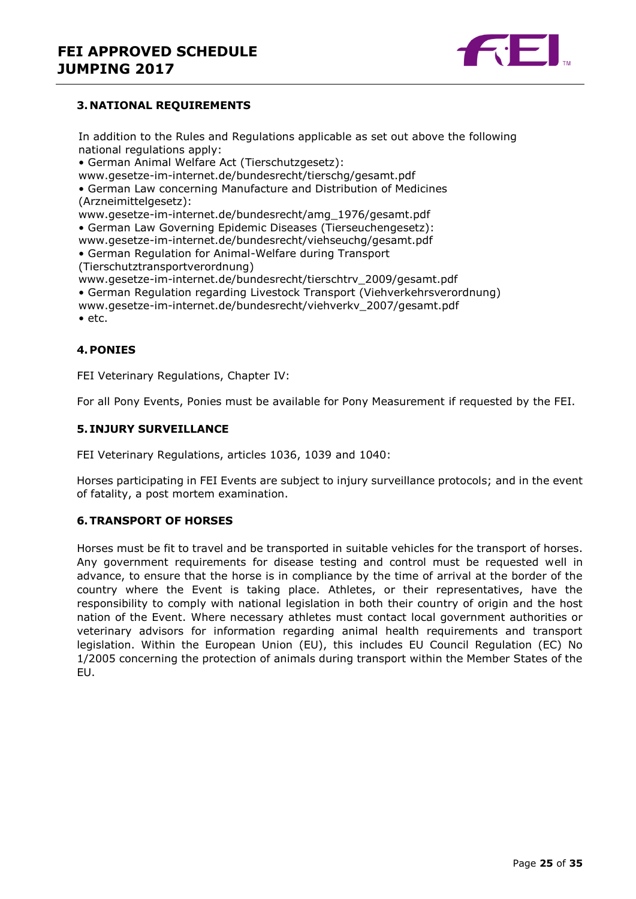

#### <span id="page-24-0"></span>**3. NATIONAL REQUIREMENTS**

In addition to the Rules and Regulations applicable as set out above the following national regulations apply:

• German Animal Welfare Act (Tierschutzgesetz):

www.gesetze-im-internet.de/bundesrecht/tierschg/gesamt.pdf

• German Law concerning Manufacture and Distribution of Medicines (Arzneimittelgesetz):

www.gesetze-im-internet.de/bundesrecht/amg\_1976/gesamt.pdf

• German Law Governing Epidemic Diseases (Tierseuchengesetz):

www.gesetze-im-internet.de/bundesrecht/viehseuchg/gesamt.pdf

• German Regulation for Animal-Welfare during Transport (Tierschutztransportverordnung)

www.gesetze-im-internet.de/bundesrecht/tierschtrv\_2009/gesamt.pdf

- German Regulation regarding Livestock Transport (Viehverkehrsverordnung)
- www.gesetze-im-internet.de/bundesrecht/viehverkv\_2007/gesamt.pdf

• etc.

#### <span id="page-24-1"></span>**4.PONIES**

FEI Veterinary Regulations, Chapter IV:

For all Pony Events, Ponies must be available for Pony Measurement if requested by the FEI.

#### <span id="page-24-2"></span>**5. INJURY SURVEILLANCE**

FEI Veterinary Regulations, articles 1036, 1039 and 1040:

Horses participating in FEI Events are subject to injury surveillance protocols; and in the event of fatality, a post mortem examination.

#### <span id="page-24-3"></span>**6.TRANSPORT OF HORSES**

Horses must be fit to travel and be transported in suitable vehicles for the transport of horses. Any government requirements for disease testing and control must be requested well in advance, to ensure that the horse is in compliance by the time of arrival at the border of the country where the Event is taking place. Athletes, or their representatives, have the responsibility to comply with national legislation in both their country of origin and the host nation of the Event. Where necessary athletes must contact local government authorities or veterinary advisors for information regarding animal health requirements and transport legislation. Within the European Union (EU), this includes EU Council Regulation (EC) No 1/2005 concerning the protection of animals during transport within the Member States of the EU.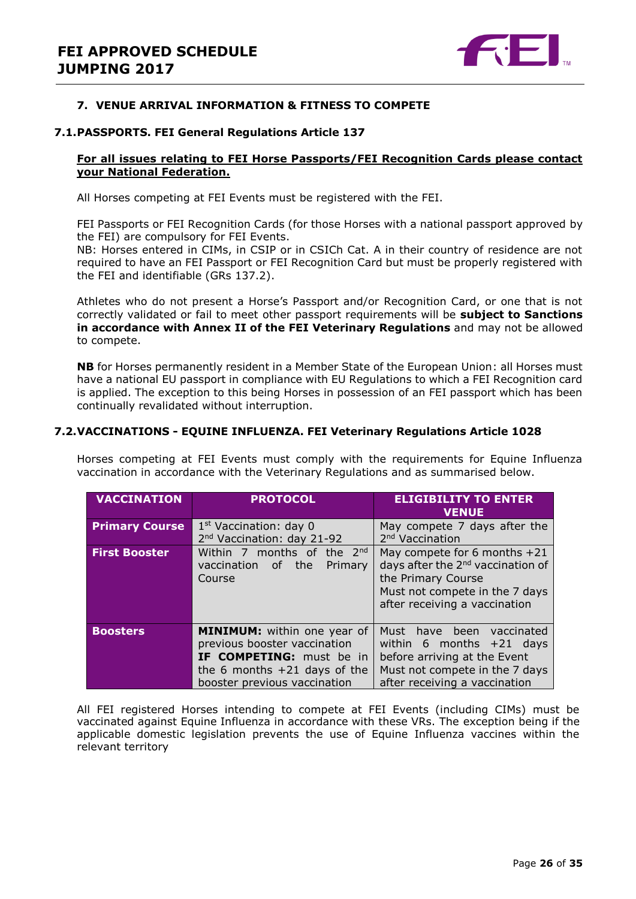

#### <span id="page-25-0"></span>**7. VENUE ARRIVAL INFORMATION & FITNESS TO COMPETE**

#### **7.1.PASSPORTS. FEI General Regulations Article 137**

#### **For all issues relating to FEI Horse Passports/FEI Recognition Cards please contact your National Federation.**

All Horses competing at FEI Events must be registered with the FEI.

FEI Passports or FEI Recognition Cards (for those Horses with a national passport approved by the FEI) are compulsory for FEI Events.

NB: Horses entered in CIMs, in CSIP or in CSICh Cat. A in their country of residence are not required to have an FEI Passport or FEI Recognition Card but must be properly registered with the FEI and identifiable (GRs 137.2).

Athletes who do not present a Horse's Passport and/or Recognition Card, or one that is not correctly validated or fail to meet other passport requirements will be **subject to Sanctions in accordance with Annex II of the FEI Veterinary Regulations** and may not be allowed to compete.

**NB** for Horses permanently resident in a Member State of the European Union: all Horses must have a national EU passport in compliance with EU Regulations to which a FEI Recognition card is applied. The exception to this being Horses in possession of an FEI passport which has been continually revalidated without interruption.

#### **7.2.VACCINATIONS - EQUINE INFLUENZA. FEI Veterinary Regulations Article 1028**

Horses competing at FEI Events must comply with the requirements for Equine Influenza vaccination in accordance with the Veterinary Regulations and as summarised below.

| <b>VACCINATION</b>    | <b>PROTOCOL</b>                                                                                                                                                         | <b>ELIGIBILITY TO ENTER</b><br><b>VENUE</b>                                                                                                                            |  |  |
|-----------------------|-------------------------------------------------------------------------------------------------------------------------------------------------------------------------|------------------------------------------------------------------------------------------------------------------------------------------------------------------------|--|--|
| <b>Primary Course</b> | $1st$ Vaccination: day 0<br>2 <sup>nd</sup> Vaccination: day 21-92                                                                                                      | May compete 7 days after the<br>2 <sup>nd</sup> Vaccination                                                                                                            |  |  |
| <b>First Booster</b>  | Within 7 months of the 2 <sup>nd</sup><br>Primary<br>vaccination<br>of the<br>Course                                                                                    | May compete for 6 months +21<br>days after the 2 <sup>nd</sup> vaccination of<br>the Primary Course<br>Must not compete in the 7 days<br>after receiving a vaccination |  |  |
| <b>Boosters</b>       | <b>MINIMUM:</b> within one year of<br>previous booster vaccination<br><b>IF COMPETING:</b> must be in<br>the 6 months $+21$ days of the<br>booster previous vaccination | Must have been vaccinated<br>within $6$ months $+21$ days<br>before arriving at the Event<br>Must not compete in the 7 days<br>after receiving a vaccination           |  |  |

All FEI registered Horses intending to compete at FEI Events (including CIMs) must be vaccinated against Equine Influenza in accordance with these VRs. The exception being if the applicable domestic legislation prevents the use of Equine Influenza vaccines within the relevant territory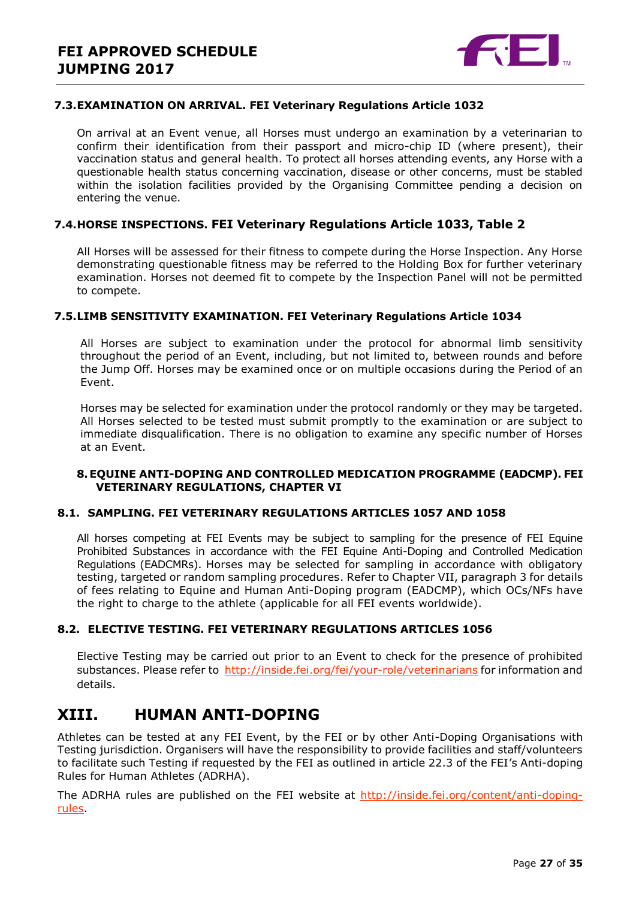

#### **7.3.EXAMINATION ON ARRIVAL. FEI Veterinary Regulations Article 1032**

On arrival at an Event venue, all Horses must undergo an examination by a veterinarian to confirm their identification from their passport and micro-chip ID (where present), their vaccination status and general health. To protect all horses attending events, any Horse with a questionable health status concerning vaccination, disease or other concerns, must be stabled within the isolation facilities provided by the Organising Committee pending a decision on entering the venue.

#### **7.4.HORSE INSPECTIONS. FEI Veterinary Regulations Article 1033, Table 2**

All Horses will be assessed for their fitness to compete during the Horse Inspection. Any Horse demonstrating questionable fitness may be referred to the Holding Box for further veterinary examination. Horses not deemed fit to compete by the Inspection Panel will not be permitted to compete.

#### **7.5.LIMB SENSITIVITY EXAMINATION. FEI Veterinary Regulations Article 1034**

All Horses are subject to examination under the protocol for abnormal limb sensitivity throughout the period of an Event, including, but not limited to, between rounds and before the Jump Off. Horses may be examined once or on multiple occasions during the Period of an Event.

Horses may be selected for examination under the protocol randomly or they may be targeted. All Horses selected to be tested must submit promptly to the examination or are subject to immediate disqualification. There is no obligation to examine any specific number of Horses at an Event.

#### <span id="page-26-0"></span>**8.EQUINE ANTI-DOPING AND CONTROLLED MEDICATION PROGRAMME (EADCMP). FEI VETERINARY REGULATIONS, CHAPTER VI**

#### **8.1. SAMPLING. FEI VETERINARY REGULATIONS ARTICLES 1057 AND 1058**

All horses competing at FEI Events may be subject to sampling for the presence of FEI Equine Prohibited Substances in accordance with the FEI Equine Anti-Doping and Controlled Medication Regulations (EADCMRs). Horses may be selected for sampling in accordance with obligatory testing, targeted or random sampling procedures. Refer to Chapter VII, paragraph 3 for details of fees relating to Equine and Human Anti-Doping program (EADCMP), which OCs/NFs have the right to charge to the athlete (applicable for all FEI events worldwide).

#### **8.2. ELECTIVE TESTING. FEI VETERINARY REGULATIONS ARTICLES 1056**

Elective Testing may be carried out prior to an Event to check for the presence of prohibited substances. Please refer to<http://inside.fei.org/fei/your-role/veterinarians> for information and details.

# <span id="page-26-1"></span>**XIII. HUMAN ANTI-DOPING**

Athletes can be tested at any FEI Event, by the FEI or by other Anti-Doping Organisations with Testing jurisdiction. Organisers will have the responsibility to provide facilities and staff/volunteers to facilitate such Testing if requested by the FEI as outlined in article 22.3 of the FEI's Anti-doping Rules for Human Athletes (ADRHA).

The ADRHA rules are published on the FEI website at [http://inside.fei.org/content/anti-doping](http://inside.fei.org/content/anti-doping-rules)[rules.](http://inside.fei.org/content/anti-doping-rules)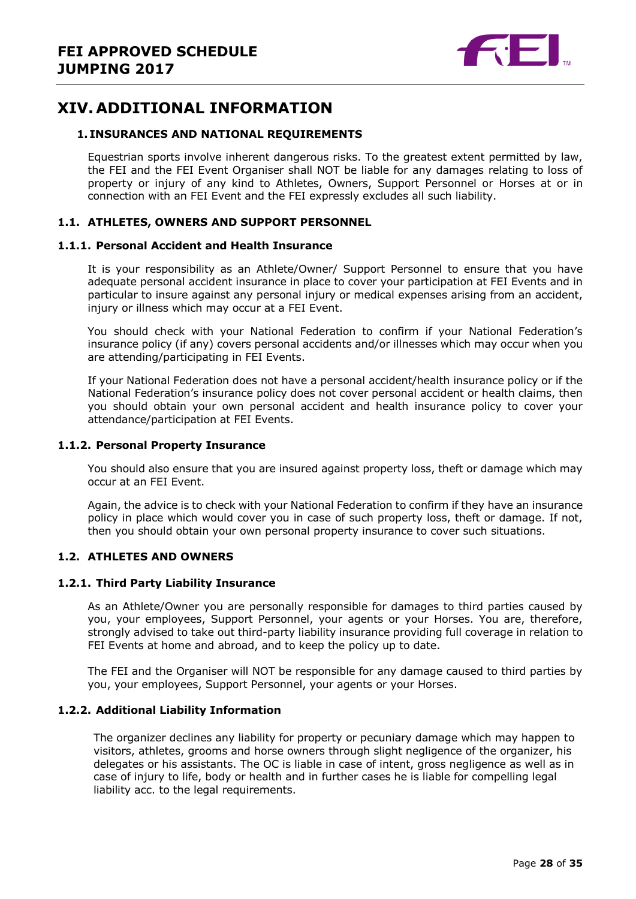

# <span id="page-27-0"></span>**XIV. ADDITIONAL INFORMATION**

#### <span id="page-27-1"></span>**1. INSURANCES AND NATIONAL REQUIREMENTS**

Equestrian sports involve inherent dangerous risks. To the greatest extent permitted by law, the FEI and the FEI Event Organiser shall NOT be liable for any damages relating to loss of property or injury of any kind to Athletes, Owners, Support Personnel or Horses at or in connection with an FEI Event and the FEI expressly excludes all such liability.

#### **1.1. ATHLETES, OWNERS AND SUPPORT PERSONNEL**

#### **1.1.1. Personal Accident and Health Insurance**

It is your responsibility as an Athlete/Owner/ Support Personnel to ensure that you have adequate personal accident insurance in place to cover your participation at FEI Events and in particular to insure against any personal injury or medical expenses arising from an accident, injury or illness which may occur at a FEI Event.

You should check with your National Federation to confirm if your National Federation's insurance policy (if any) covers personal accidents and/or illnesses which may occur when you are attending/participating in FEI Events.

If your National Federation does not have a personal accident/health insurance policy or if the National Federation's insurance policy does not cover personal accident or health claims, then you should obtain your own personal accident and health insurance policy to cover your attendance/participation at FEI Events.

#### **1.1.2. Personal Property Insurance**

You should also ensure that you are insured against property loss, theft or damage which may occur at an FEI Event.

Again, the advice is to check with your National Federation to confirm if they have an insurance policy in place which would cover you in case of such property loss, theft or damage. If not, then you should obtain your own personal property insurance to cover such situations.

#### **1.2. ATHLETES AND OWNERS**

#### **1.2.1. Third Party Liability Insurance**

As an Athlete/Owner you are personally responsible for damages to third parties caused by you, your employees, Support Personnel, your agents or your Horses. You are, therefore, strongly advised to take out third-party liability insurance providing full coverage in relation to FEI Events at home and abroad, and to keep the policy up to date.

The FEI and the Organiser will NOT be responsible for any damage caused to third parties by you, your employees, Support Personnel, your agents or your Horses.

#### **1.2.2. Additional Liability Information**

The organizer declines any liability for property or pecuniary damage which may happen to visitors, athletes, grooms and horse owners through slight negligence of the organizer, his delegates or his assistants. The OC is liable in case of intent, gross negligence as well as in case of injury to life, body or health and in further cases he is liable for compelling legal liability acc. to the legal requirements.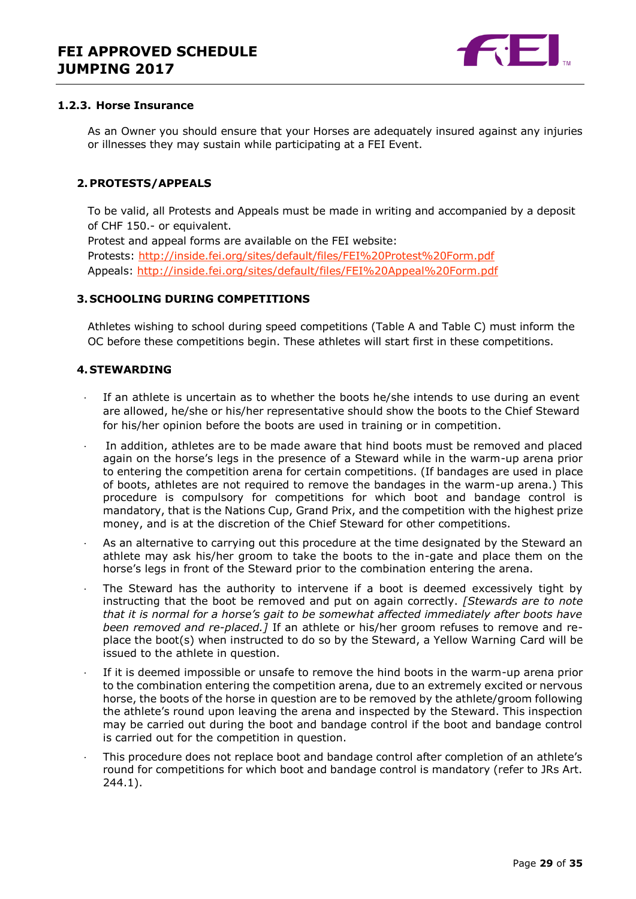

#### **1.2.3. Horse Insurance**

As an Owner you should ensure that your Horses are adequately insured against any injuries or illnesses they may sustain while participating at a FEI Event.

#### <span id="page-28-0"></span>**2.PROTESTS/APPEALS**

To be valid, all Protests and Appeals must be made in writing and accompanied by a deposit of CHF 150.- or equivalent.

Protest and appeal forms are available on the FEI website: Protests:<http://inside.fei.org/sites/default/files/FEI%20Protest%20Form.pdf> Appeals:<http://inside.fei.org/sites/default/files/FEI%20Appeal%20Form.pdf>

#### <span id="page-28-1"></span>**3. SCHOOLING DURING COMPETITIONS**

Athletes wishing to school during speed competitions (Table A and Table C) must inform the OC before these competitions begin. These athletes will start first in these competitions.

#### <span id="page-28-2"></span>**4. STEWARDING**

- If an athlete is uncertain as to whether the boots he/she intends to use during an event are allowed, he/she or his/her representative should show the boots to the Chief Steward for his/her opinion before the boots are used in training or in competition.
- In addition, athletes are to be made aware that hind boots must be removed and placed again on the horse's legs in the presence of a Steward while in the warm-up arena prior to entering the competition arena for certain competitions. (If bandages are used in place of boots, athletes are not required to remove the bandages in the warm-up arena.) This procedure is compulsory for competitions for which boot and bandage control is mandatory, that is the Nations Cup, Grand Prix, and the competition with the highest prize money, and is at the discretion of the Chief Steward for other competitions.
- As an alternative to carrying out this procedure at the time designated by the Steward an athlete may ask his/her groom to take the boots to the in-gate and place them on the horse's legs in front of the Steward prior to the combination entering the arena.
- The Steward has the authority to intervene if a boot is deemed excessively tight by instructing that the boot be removed and put on again correctly. *[Stewards are to note that it is normal for a horse's gait to be somewhat affected immediately after boots have been removed and re-placed.]* If an athlete or his/her groom refuses to remove and replace the boot(s) when instructed to do so by the Steward, a Yellow Warning Card will be issued to the athlete in question.
- If it is deemed impossible or unsafe to remove the hind boots in the warm-up arena prior to the combination entering the competition arena, due to an extremely excited or nervous horse, the boots of the horse in question are to be removed by the athlete/groom following the athlete's round upon leaving the arena and inspected by the Steward. This inspection may be carried out during the boot and bandage control if the boot and bandage control is carried out for the competition in question.
- · This procedure does not replace boot and bandage control after completion of an athlete's round for competitions for which boot and bandage control is mandatory (refer to JRs Art. 244.1).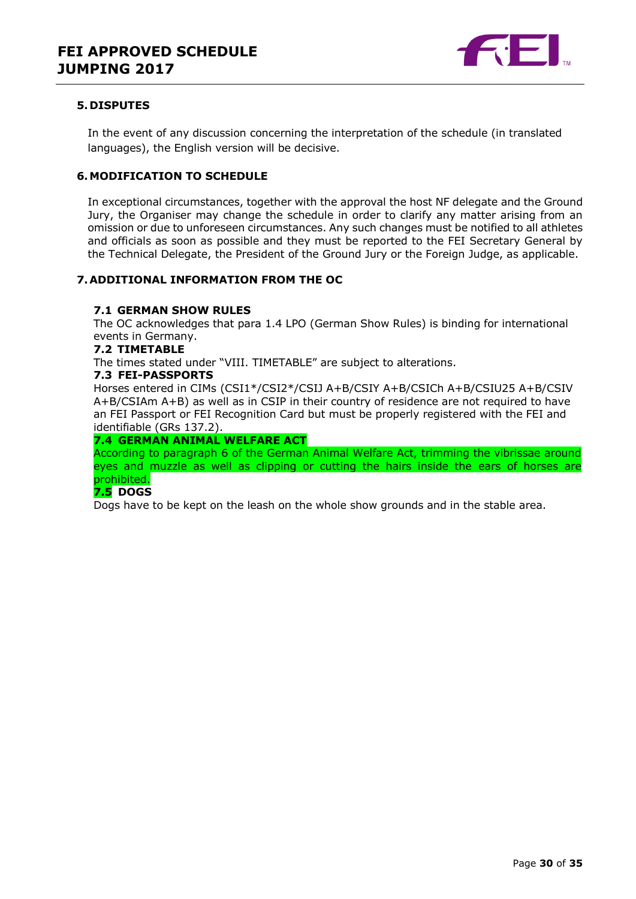

#### <span id="page-29-0"></span>**5. DISPUTES**

In the event of any discussion concerning the interpretation of the schedule (in translated languages), the English version will be decisive.

#### <span id="page-29-1"></span>**6.MODIFICATION TO SCHEDULE**

In exceptional circumstances, together with the approval the host NF delegate and the Ground Jury, the Organiser may change the schedule in order to clarify any matter arising from an omission or due to unforeseen circumstances. Any such changes must be notified to all athletes and officials as soon as possible and they must be reported to the FEI Secretary General by the Technical Delegate, the President of the Ground Jury or the Foreign Judge, as applicable.

#### <span id="page-29-2"></span>**7.ADDITIONAL INFORMATION FROM THE OC**

#### **7.1 GERMAN SHOW RULES**

The OC acknowledges that para 1.4 LPO (German Show Rules) is binding for international events in Germany.

#### **7.2 TIMETABLE**

The times stated under "VIII. TIMETABLE" are subject to alterations.

#### **7.3 FEI-PASSPORTS**

Horses entered in CIMs (CSI1\*/CSI2\*/CSIJ A+B/CSIY A+B/CSICh A+B/CSIU25 A+B/CSIV A+B/CSIAm A+B) as well as in CSIP in their country of residence are not required to have an FEI Passport or FEI Recognition Card but must be properly registered with the FEI and identifiable (GRs 137.2).

#### **7.4 GERMAN ANIMAL WELFARE ACT**

According to paragraph 6 of the German Animal Welfare Act, trimming the vibrissae around eyes and muzzle as well as clipping or cutting the hairs inside the ears of horses are prohibited.

#### **7.5 DOGS**

Dogs have to be kept on the leash on the whole show grounds and in the stable area.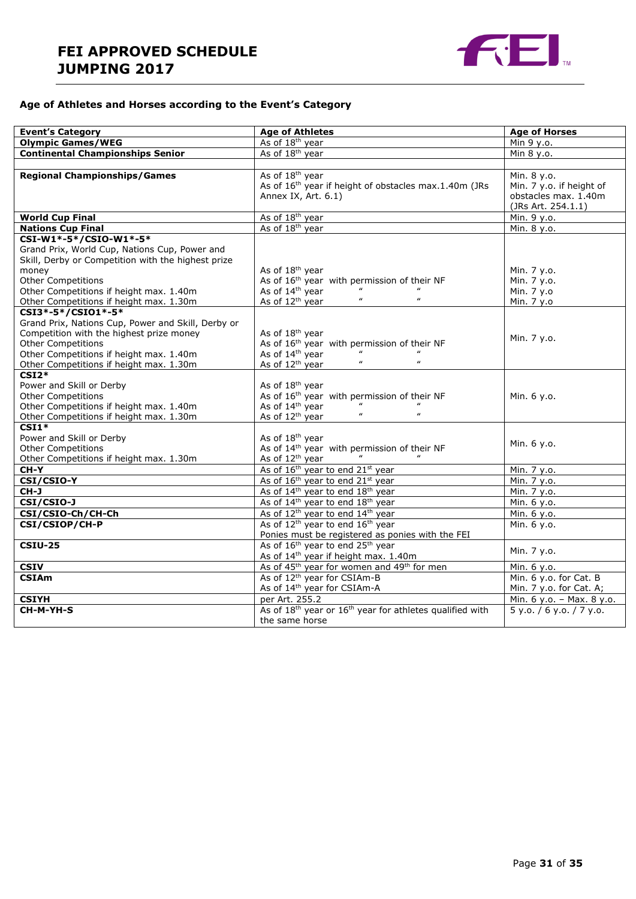

### **Age of Athletes and Horses according to the Event's Category**

| <b>Event's Category</b>                                                                                                                                                                                                                 | <b>Age of Athletes</b>                                                                                                                                                                                  | <b>Age of Horses</b>                                                                  |  |  |
|-----------------------------------------------------------------------------------------------------------------------------------------------------------------------------------------------------------------------------------------|---------------------------------------------------------------------------------------------------------------------------------------------------------------------------------------------------------|---------------------------------------------------------------------------------------|--|--|
| <b>Olympic Games/WEG</b>                                                                                                                                                                                                                | As of 18 <sup>th</sup> year                                                                                                                                                                             | Min 9 y.o.                                                                            |  |  |
| <b>Continental Championships Senior</b>                                                                                                                                                                                                 | As of 18 <sup>th</sup> year                                                                                                                                                                             | Min 8 y.o.                                                                            |  |  |
|                                                                                                                                                                                                                                         |                                                                                                                                                                                                         |                                                                                       |  |  |
| <b>Regional Championships/Games</b>                                                                                                                                                                                                     | As of 18 <sup>th</sup> year<br>As of 16 <sup>th</sup> year if height of obstacles max.1.40m (JRs<br>Annex IX, Art. 6.1)                                                                                 | Min. 8 y.o.<br>Min. 7 y.o. if height of<br>obstacles max. 1.40m<br>(JRs Art. 254.1.1) |  |  |
| <b>World Cup Final</b>                                                                                                                                                                                                                  | As of 18 <sup>th</sup> year                                                                                                                                                                             | Min. 9 y.o.                                                                           |  |  |
| <b>Nations Cup Final</b>                                                                                                                                                                                                                | As of 18 <sup>th</sup> year                                                                                                                                                                             | Min. 8 y.o.                                                                           |  |  |
| CSI-W1*-5*/CSIO-W1*-5*                                                                                                                                                                                                                  |                                                                                                                                                                                                         |                                                                                       |  |  |
| Grand Prix, World Cup, Nations Cup, Power and<br>Skill, Derby or Competition with the highest prize<br>money<br><b>Other Competitions</b>                                                                                               | As of 18 <sup>th</sup> year<br>As of 16 <sup>th</sup> year with permission of their NF                                                                                                                  | Min. 7 y.o.<br>Min. 7 y.o.                                                            |  |  |
| Other Competitions if height max. 1.40m                                                                                                                                                                                                 | As of 14 <sup>th</sup> year                                                                                                                                                                             | Min. 7 y.o                                                                            |  |  |
| Other Competitions if height max. 1.30m                                                                                                                                                                                                 | $\boldsymbol{u}$<br>$\boldsymbol{\mu}$<br>As of 12 <sup>th</sup> year                                                                                                                                   | Min. 7 y.o                                                                            |  |  |
| CSI3*-5*/CSI01*-5*<br>Grand Prix, Nations Cup, Power and Skill, Derby or<br>Competition with the highest prize money<br><b>Other Competitions</b><br>Other Competitions if height max. 1.40m<br>Other Competitions if height max. 1.30m | As of 18 <sup>th</sup> year<br>As of 16 <sup>th</sup> year with permission of their NF<br>As of 14 <sup>th</sup> year<br>$\boldsymbol{\mathit{u}}$<br>$\boldsymbol{\mu}$<br>As of 12 <sup>th</sup> year | Min. 7 y.o.                                                                           |  |  |
| $CSI2*$<br>Power and Skill or Derby<br><b>Other Competitions</b><br>Other Competitions if height max. 1.40m<br>Other Competitions if height max. 1.30m                                                                                  | As of 18 <sup>th</sup> year<br>As of 16 <sup>th</sup> year with permission of their NF<br>As of 14 <sup>th</sup> year<br>$\boldsymbol{\mu}$<br>$\boldsymbol{\mu}$<br>As of 12 <sup>th</sup> year        | Min. 6 y.o.                                                                           |  |  |
| $CSI1*$<br>Power and Skill or Derby<br><b>Other Competitions</b><br>Other Competitions if height max. 1.30m                                                                                                                             | As of 18 <sup>th</sup> year<br>As of 14 <sup>th</sup> year with permission of their NF<br>As of 12 <sup>th</sup> year                                                                                   | Min. 6 y.o.                                                                           |  |  |
| CH-Y                                                                                                                                                                                                                                    | As of 16 <sup>th</sup> year to end 21 <sup>st</sup> year                                                                                                                                                | Min. 7 y.o.                                                                           |  |  |
| CSI/CSIO-Y                                                                                                                                                                                                                              | As of 16 <sup>th</sup> year to end 21 <sup>st</sup> year                                                                                                                                                | Min. 7 y.o.                                                                           |  |  |
| $CH-J$                                                                                                                                                                                                                                  | As of 14 <sup>th</sup> year to end 18 <sup>th</sup> year                                                                                                                                                | Min. 7 y.o.                                                                           |  |  |
| CSI/CSIO-J                                                                                                                                                                                                                              | As of 14 <sup>th</sup> year to end 18 <sup>th</sup> year                                                                                                                                                | Min. 6 y.o.                                                                           |  |  |
| CSI/CSIO-Ch/CH-Ch                                                                                                                                                                                                                       | As of 12 <sup>th</sup> year to end 14 <sup>th</sup> year                                                                                                                                                | Min. 6 y.o.                                                                           |  |  |
| CSI/CSIOP/CH-P                                                                                                                                                                                                                          | As of 12 <sup>th</sup> year to end 16 <sup>th</sup> year<br>Ponies must be registered as ponies with the FEI                                                                                            | Min. 6 y.o.                                                                           |  |  |
| <b>CSIU-25</b>                                                                                                                                                                                                                          | As of 16 <sup>th</sup> year to end 25 <sup>th</sup> year<br>As of 14 <sup>th</sup> year if height max. 1.40m                                                                                            | Min. 7 y.o.                                                                           |  |  |
| <b>CSIV</b>                                                                                                                                                                                                                             | As of 45 <sup>th</sup> year for women and 49 <sup>th</sup> for men                                                                                                                                      | Min. 6 y.o.                                                                           |  |  |
| <b>CSIAm</b>                                                                                                                                                                                                                            | As of 12 <sup>th</sup> year for CSIAm-B<br>As of 14 <sup>th</sup> year for CSIAm-A                                                                                                                      | Min. 6 y.o. for Cat. B<br>Min. 7 y.o. for Cat. A;                                     |  |  |
| <b>CSIYH</b>                                                                                                                                                                                                                            | per Art. 255.2                                                                                                                                                                                          | Min. 6 y.o. - Max. 8 y.o.                                                             |  |  |
| CH-M-YH-S                                                                                                                                                                                                                               | As of 18 <sup>th</sup> year or 16 <sup>th</sup> year for athletes qualified with<br>the same horse                                                                                                      | 5 y.0. / 6 y.0. / 7 y.0.                                                              |  |  |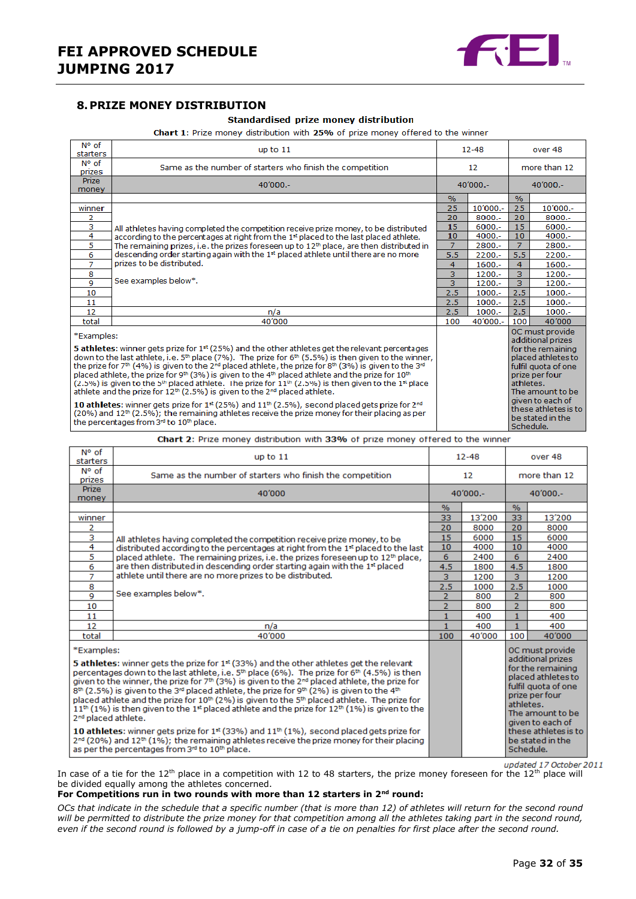

#### <span id="page-31-0"></span>**8.PRIZE MONEY DISTRIBUTION**

#### Standardised prize money distribution

Chart 1: Prize money distribution with 25% of prize money offered to the winner

| N° of<br>starters                                                                                                                                                                                                                                                                                                                                                                                                                                                                                                                                                                                                                                                                                                                                                                                                                                                                                                                                                                                                              | up to $11$                                                                                           |                | $12 - 48$    |                                                                                                                                                                                                                                        | over 48   |
|--------------------------------------------------------------------------------------------------------------------------------------------------------------------------------------------------------------------------------------------------------------------------------------------------------------------------------------------------------------------------------------------------------------------------------------------------------------------------------------------------------------------------------------------------------------------------------------------------------------------------------------------------------------------------------------------------------------------------------------------------------------------------------------------------------------------------------------------------------------------------------------------------------------------------------------------------------------------------------------------------------------------------------|------------------------------------------------------------------------------------------------------|----------------|--------------|----------------------------------------------------------------------------------------------------------------------------------------------------------------------------------------------------------------------------------------|-----------|
| N° of<br>prizes                                                                                                                                                                                                                                                                                                                                                                                                                                                                                                                                                                                                                                                                                                                                                                                                                                                                                                                                                                                                                | Same as the number of starters who finish the competition<br>$12 \overline{ }$                       |                | more than 12 |                                                                                                                                                                                                                                        |           |
| <b>Prize</b><br>money                                                                                                                                                                                                                                                                                                                                                                                                                                                                                                                                                                                                                                                                                                                                                                                                                                                                                                                                                                                                          | 40'000 .-                                                                                            | $40'000 -$     |              | $40'000 -$                                                                                                                                                                                                                             |           |
|                                                                                                                                                                                                                                                                                                                                                                                                                                                                                                                                                                                                                                                                                                                                                                                                                                                                                                                                                                                                                                |                                                                                                      | $\frac{9}{6}$  |              | $\%$                                                                                                                                                                                                                                   |           |
| winner                                                                                                                                                                                                                                                                                                                                                                                                                                                                                                                                                                                                                                                                                                                                                                                                                                                                                                                                                                                                                         |                                                                                                      | 25             | 10'000 .-    | 25                                                                                                                                                                                                                                     | 10'000 .- |
| 2                                                                                                                                                                                                                                                                                                                                                                                                                                                                                                                                                                                                                                                                                                                                                                                                                                                                                                                                                                                                                              |                                                                                                      | 20             | $8000 -$     | 20                                                                                                                                                                                                                                     | $8000 -$  |
| з                                                                                                                                                                                                                                                                                                                                                                                                                                                                                                                                                                                                                                                                                                                                                                                                                                                                                                                                                                                                                              | All athletes having completed the competition receive prize money, to be distributed                 | 15             | $6000 -$     | 15                                                                                                                                                                                                                                     | $6000 -$  |
| 4                                                                                                                                                                                                                                                                                                                                                                                                                                                                                                                                                                                                                                                                                                                                                                                                                                                                                                                                                                                                                              | according to the percentages at right from the 1 <sup>st</sup> placed to the last placed athlete.    | 10             | $4000 -$     | 10                                                                                                                                                                                                                                     | $4000 -$  |
| 5                                                                                                                                                                                                                                                                                                                                                                                                                                                                                                                                                                                                                                                                                                                                                                                                                                                                                                                                                                                                                              | The remaining prizes, i.e. the prizes foreseen up to 12 <sup>th</sup> place, are then distributed in | $\overline{7}$ | 2800.-       | $\overline{7}$                                                                                                                                                                                                                         | 2800.-    |
| 6                                                                                                                                                                                                                                                                                                                                                                                                                                                                                                                                                                                                                                                                                                                                                                                                                                                                                                                                                                                                                              | descending order starting again with the 1 <sup>st</sup> placed athlete until there are no more      | 5.5            | $2200 -$     | 5.5                                                                                                                                                                                                                                    | $2200 -$  |
| $\overline{7}$                                                                                                                                                                                                                                                                                                                                                                                                                                                                                                                                                                                                                                                                                                                                                                                                                                                                                                                                                                                                                 | prizes to be distributed.                                                                            | 4              | $1600 -$     | 4                                                                                                                                                                                                                                      | $1600 -$  |
| 8                                                                                                                                                                                                                                                                                                                                                                                                                                                                                                                                                                                                                                                                                                                                                                                                                                                                                                                                                                                                                              |                                                                                                      | 3              | $1200 -$     | 3                                                                                                                                                                                                                                      | $1200 -$  |
| 9                                                                                                                                                                                                                                                                                                                                                                                                                                                                                                                                                                                                                                                                                                                                                                                                                                                                                                                                                                                                                              | See examples below*.                                                                                 | 3              | $1200 -$     | 3                                                                                                                                                                                                                                      | $1200 -$  |
| 10                                                                                                                                                                                                                                                                                                                                                                                                                                                                                                                                                                                                                                                                                                                                                                                                                                                                                                                                                                                                                             |                                                                                                      | 2.5            | $1000.-$     | 2.5                                                                                                                                                                                                                                    | $1000.-$  |
| 11                                                                                                                                                                                                                                                                                                                                                                                                                                                                                                                                                                                                                                                                                                                                                                                                                                                                                                                                                                                                                             |                                                                                                      | 2.5            | $1000.-$     | 2.5                                                                                                                                                                                                                                    | $1000.-$  |
| 12                                                                                                                                                                                                                                                                                                                                                                                                                                                                                                                                                                                                                                                                                                                                                                                                                                                                                                                                                                                                                             | n/a                                                                                                  | 2.5            | $1000.-$     | 2.5                                                                                                                                                                                                                                    | $1000 -$  |
| total                                                                                                                                                                                                                                                                                                                                                                                                                                                                                                                                                                                                                                                                                                                                                                                                                                                                                                                                                                                                                          | 40'000                                                                                               | 100            | 40'000 .-    | 100                                                                                                                                                                                                                                    | 40'000    |
| *Examples:<br><b>5 athletes:</b> winner gets prize for $1st$ (25%) and the other athletes get the relevant percentages<br>down to the last athlete, i.e. $5th$ place (7%). The prize for $6th$ (5.5%) is then given to the winner,<br>the prize for 7th (4%) is given to the 2 <sup>nd</sup> placed athlete, the prize for 8th (3%) is given to the 3 <sup>nd</sup><br>placed athlete, the prize for 9 <sup>th</sup> (3%) is given to the 4 <sup>th</sup> placed athlete and the prize for 10 <sup>th</sup><br>$(2.5\%)$ is given to the 5 <sup>th</sup> placed athlete. The prize for 11 <sup>th</sup> $(2.5\%)$ is then given to the 1 <sup>st</sup> place<br>athlete and the prize for $12th$ (2.5%) is given to the $2nd$ placed athlete.<br>10 athletes: winner gets prize for $1st$ (25%) and $11th$ (2.5%), second placed gets prize for $2nd$<br>$(20%)$ and $12th$ (2.5%); the remaining athletes receive the prize money for their placing as per<br>the percentages from 3 <sup>rd</sup> to 10 <sup>th</sup> place. |                                                                                                      |                |              | OC must provide<br>additional prizes<br>for the remaining<br>placed athletes to<br>fulfil quota of one<br>prize per four<br>athletes.<br>The amount to be<br>given to each of<br>these athletes is to<br>be stated in the<br>Schedule. |           |

Chart 2: Prize money distribution with 33% of prize money offered to the winner

| N° of<br>starters                                                                                                                                                                                                                                                                                                                                                                                                                                                                                   | up to $11$                                                                                   |                | $12 - 48$ |                                                                                                                          | over 48                                                                          |  |
|-----------------------------------------------------------------------------------------------------------------------------------------------------------------------------------------------------------------------------------------------------------------------------------------------------------------------------------------------------------------------------------------------------------------------------------------------------------------------------------------------------|----------------------------------------------------------------------------------------------|----------------|-----------|--------------------------------------------------------------------------------------------------------------------------|----------------------------------------------------------------------------------|--|
| N° of<br>prizes                                                                                                                                                                                                                                                                                                                                                                                                                                                                                     | Same as the number of starters who finish the competition                                    |                | 12        |                                                                                                                          | more than 12                                                                     |  |
| <b>Prize</b><br>money                                                                                                                                                                                                                                                                                                                                                                                                                                                                               | 40'000<br>$40'000 -$                                                                         |                |           | $40'000. -$                                                                                                              |                                                                                  |  |
|                                                                                                                                                                                                                                                                                                                                                                                                                                                                                                     |                                                                                              | %              |           | $\frac{0}{6}$                                                                                                            |                                                                                  |  |
| winner                                                                                                                                                                                                                                                                                                                                                                                                                                                                                              |                                                                                              | 33             | 13'200    | 33                                                                                                                       | 13'200                                                                           |  |
| 2                                                                                                                                                                                                                                                                                                                                                                                                                                                                                                   |                                                                                              | 20             | 8000      | 20                                                                                                                       | 8000                                                                             |  |
| 3                                                                                                                                                                                                                                                                                                                                                                                                                                                                                                   | All athletes having completed the competition receive prize money, to be                     | 15             | 6000      | 15                                                                                                                       | 6000                                                                             |  |
| 4                                                                                                                                                                                                                                                                                                                                                                                                                                                                                                   | distributed according to the percentages at right from the 1st placed to the last            | 10             | 4000      | 10                                                                                                                       | 4000                                                                             |  |
| 5                                                                                                                                                                                                                                                                                                                                                                                                                                                                                                   | placed athlete. The remaining prizes, i.e. the prizes foreseen up to 12 <sup>th</sup> place, | 6              | 2400      | 6                                                                                                                        | 2400                                                                             |  |
| 6                                                                                                                                                                                                                                                                                                                                                                                                                                                                                                   | are then distributed in descending order starting again with the 1 <sup>st</sup> placed      | 4.5            | 1800      | 4.5                                                                                                                      | 1800                                                                             |  |
| $\overline{7}$                                                                                                                                                                                                                                                                                                                                                                                                                                                                                      | athlete until there are no more prizes to be distributed.                                    | 3              | 1200      | 3                                                                                                                        | 1200                                                                             |  |
| 8                                                                                                                                                                                                                                                                                                                                                                                                                                                                                                   |                                                                                              | 2.5            | 1000      | 2.5                                                                                                                      | 1000                                                                             |  |
| 9                                                                                                                                                                                                                                                                                                                                                                                                                                                                                                   | See examples below*.                                                                         | $\overline{2}$ | 800       | $\overline{2}$                                                                                                           | 800                                                                              |  |
| 10                                                                                                                                                                                                                                                                                                                                                                                                                                                                                                  |                                                                                              | 2              | 800       | $\overline{2}$                                                                                                           | 800                                                                              |  |
| 11                                                                                                                                                                                                                                                                                                                                                                                                                                                                                                  |                                                                                              | $\mathbf{1}$   | 400       | $\mathbf{1}$                                                                                                             | 400                                                                              |  |
| 12                                                                                                                                                                                                                                                                                                                                                                                                                                                                                                  | n/a                                                                                          | 1              | 400       | $\mathbf{1}$                                                                                                             | 400                                                                              |  |
| total                                                                                                                                                                                                                                                                                                                                                                                                                                                                                               | 40'000                                                                                       | 100            | 40'000    | 100                                                                                                                      | 40'000                                                                           |  |
| *Examples:<br>5 athletes: winner gets the prize for 1 <sup>st</sup> (33%) and the other athletes get the relevant<br>percentages down to the last athlete, i.e. 5 <sup>th</sup> place (6%). The prize for 6 <sup>th</sup> (4.5%) is then<br>given to the winner, the prize for $7th$ (3%) is given to the $2nd$ placed athlete, the prize for<br>$8th$ (2.5%) is given to the 3 <sup>rd</sup> placed athlete, the prize for 9 <sup>th</sup> (2%) is given to the 4 <sup>th</sup>                    |                                                                                              |                |           | OC must provide<br>additional prizes<br>for the remaining<br>placed athletes to<br>fulfil quota of one<br>prize per four |                                                                                  |  |
| placed athlete and the prize for 10 <sup>th</sup> (2%) is given to the 5 <sup>th</sup> placed athlete. The prize for<br>$11^{th}$ (1%) is then given to the 1 <sup>st</sup> placed athlete and the prize for 12 <sup>th</sup> (1%) is given to the<br>2 <sup>nd</sup> placed athlete.<br>10 athletes: winner gets prize for $1st$ (33%) and $11th$ (1%), second placed gets prize for<br>$2^{nd}$ (20%) and 12 <sup>th</sup> (1%); the remaining athletes receive the prize money for their placing |                                                                                              |                |           | athletes.                                                                                                                | The amount to be<br>given to each of<br>these athletes is to<br>be stated in the |  |
| as per the percentages from 3rd to 10th place.                                                                                                                                                                                                                                                                                                                                                                                                                                                      |                                                                                              |                |           | Schedule.                                                                                                                |                                                                                  |  |

updated 17 October 2011 In case of a tie for the 12<sup>th</sup> place in a competition with 12 to 48 starters, the prize money foreseen for the 12<sup>th</sup> place will be divided equally among the athletes concerned.

#### **For Competitions run in two rounds with more than 12 starters in 2nd round:**

*OCs that indicate in the schedule that a specific number (that is more than 12) of athletes will return for the second round will be permitted to distribute the prize money for that competition among all the athletes taking part in the second round, even if the second round is followed by a jump-off in case of a tie on penalties for first place after the second round.*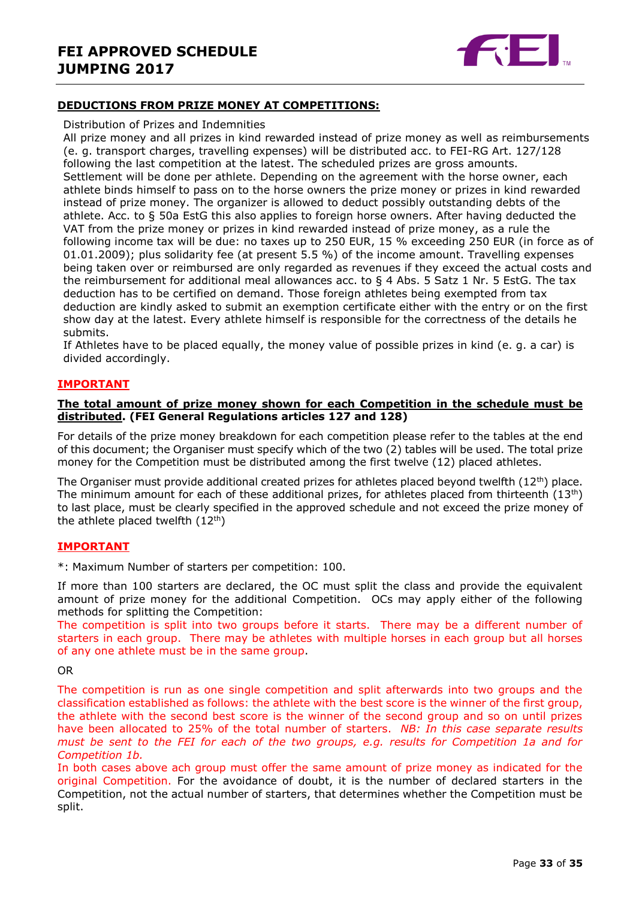

#### **DEDUCTIONS FROM PRIZE MONEY AT COMPETITIONS:**

#### Distribution of Prizes and Indemnities

All prize money and all prizes in kind rewarded instead of prize money as well as reimbursements (e. g. transport charges, travelling expenses) will be distributed acc. to FEI-RG Art. 127/128 following the last competition at the latest. The scheduled prizes are gross amounts. Settlement will be done per athlete. Depending on the agreement with the horse owner, each athlete binds himself to pass on to the horse owners the prize money or prizes in kind rewarded instead of prize money. The organizer is allowed to deduct possibly outstanding debts of the athlete. Acc. to § 50a EstG this also applies to foreign horse owners. After having deducted the VAT from the prize money or prizes in kind rewarded instead of prize money, as a rule the following income tax will be due: no taxes up to 250 EUR, 15 % exceeding 250 EUR (in force as of 01.01.2009); plus solidarity fee (at present 5.5 %) of the income amount. Travelling expenses being taken over or reimbursed are only regarded as revenues if they exceed the actual costs and the reimbursement for additional meal allowances acc. to  $\S$  4 Abs. 5 Satz 1 Nr. 5 EstG. The tax deduction has to be certified on demand. Those foreign athletes being exempted from tax deduction are kindly asked to submit an exemption certificate either with the entry or on the first show day at the latest. Every athlete himself is responsible for the correctness of the details he submits.

If Athletes have to be placed equally, the money value of possible prizes in kind (e. g. a car) is divided accordingly.

#### **IMPORTANT**

#### **The total amount of prize money shown for each Competition in the schedule must be distributed. (FEI General Regulations articles 127 and 128)**

For details of the prize money breakdown for each competition please refer to the tables at the end of this document; the Organiser must specify which of the two (2) tables will be used. The total prize money for the Competition must be distributed among the first twelve (12) placed athletes.

The Organiser must provide additional created prizes for athletes placed beyond twelfth  $(12^{th})$  place. The minimum amount for each of these additional prizes, for athletes placed from thirteenth  $(13<sup>th</sup>)$ to last place, must be clearly specified in the approved schedule and not exceed the prize money of the athlete placed twelfth  $(12<sup>th</sup>)$ 

#### **IMPORTANT**

\*: Maximum Number of starters per competition: 100.

If more than 100 starters are declared, the OC must split the class and provide the equivalent amount of prize money for the additional Competition. OCs may apply either of the following methods for splitting the Competition:

The competition is split into two groups before it starts. There may be a different number of starters in each group. There may be athletes with multiple horses in each group but all horses of any one athlete must be in the same group.

#### OR

The competition is run as one single competition and split afterwards into two groups and the classification established as follows: the athlete with the best score is the winner of the first group, the athlete with the second best score is the winner of the second group and so on until prizes have been allocated to 25% of the total number of starters. *NB: In this case separate results must be sent to the FEI for each of the two groups, e.g. results for Competition 1a and for Competition 1b.*

In both cases above ach group must offer the same amount of prize money as indicated for the original Competition. For the avoidance of doubt, it is the number of declared starters in the Competition, not the actual number of starters, that determines whether the Competition must be split.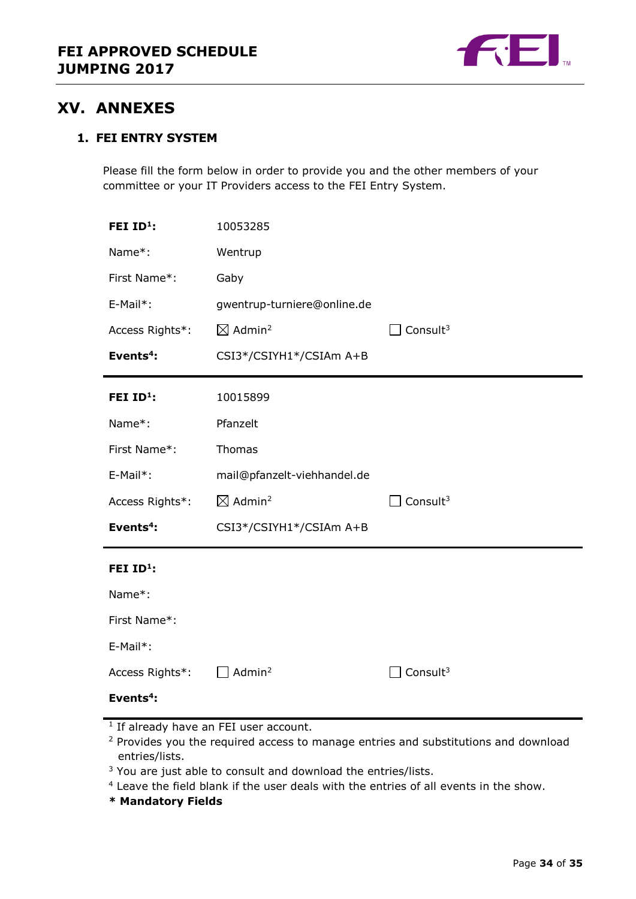

# <span id="page-33-0"></span>**XV. ANNEXES**

### **1. FEI ENTRY SYSTEM**

Please fill the form below in order to provide you and the other members of your committee or your IT Providers access to the FEI Entry System.

| FEI ID <sup>1</sup> : | 10053285                       |                             |
|-----------------------|--------------------------------|-----------------------------|
| Name*:                | Wentrup                        |                             |
| First Name*:          | Gaby                           |                             |
| E-Mail*:              | gwentrup-turniere@online.de    |                             |
| Access Rights*:       | $\boxtimes$ Admin <sup>2</sup> | $\Box$ Consult <sup>3</sup> |
| Events <sup>4</sup> : | CSI3*/CSIYH1*/CSIAm A+B        |                             |
| FEI ID <sup>1</sup> : | 10015899                       |                             |
| Name*:                | Pfanzelt                       |                             |
| First Name*:          | Thomas                         |                             |
| E-Mail*:              | mail@pfanzelt-viehhandel.de    |                             |
| Access Rights*:       | $\boxtimes$ Admin <sup>2</sup> | Consult $3$                 |
| Events <sup>4</sup> : | CSI3*/CSIYH1*/CSIAm A+B        |                             |
| FEI ID <sup>1</sup> : |                                |                             |
| Name*:                |                                |                             |
| First Name*:          |                                |                             |
| E-Mail*:              |                                |                             |
| Access Rights*:       | Admin <sup>2</sup>             | Consult $3$                 |
| Events $4$ :          |                                |                             |

<sup>1</sup> If already have an FEI user account.

- <sup>2</sup> Provides you the required access to manage entries and substitutions and download entries/lists.
- <sup>3</sup> You are just able to consult and download the entries/lists.
- <sup>4</sup> Leave the field blank if the user deals with the entries of all events in the show.
- **\* Mandatory Fields**